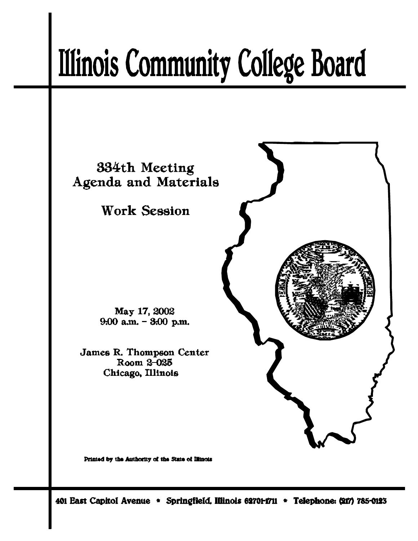# **Illinois Community College Board**



Printed by the Authority of the State of Illinois

401 East Capitol Avenue \* Springfield, Illinois 62701-1711 \* Telephone: (217) 785-0123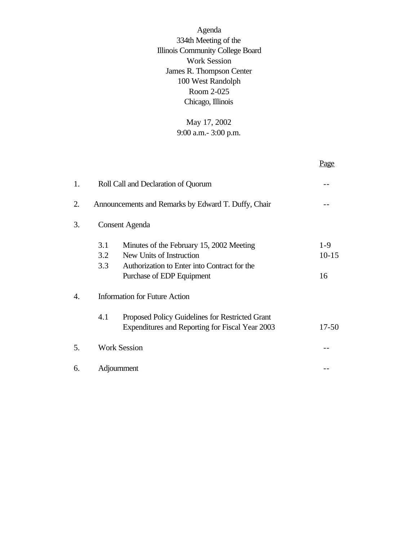Agenda 334th Meeting of the Illinois Community College Board Work Session James R. Thompson Center 100 West Randolph Room 2-025 Chicago, Illinois

> May 17, 2002 9:00 a.m.- 3:00 p.m.

|    |                                      |                                                                                                                                                   | Page                   |
|----|--------------------------------------|---------------------------------------------------------------------------------------------------------------------------------------------------|------------------------|
| 1. |                                      | Roll Call and Declaration of Quorum                                                                                                               |                        |
| 2. |                                      | Announcements and Remarks by Edward T. Duffy, Chair                                                                                               |                        |
| 3. | <b>Consent Agenda</b>                |                                                                                                                                                   |                        |
|    | 3.1<br>3.2<br>3.3                    | Minutes of the February 15, 2002 Meeting<br>New Units of Instruction<br>Authorization to Enter into Contract for the<br>Purchase of EDP Equipment | $1-9$<br>$10-15$<br>16 |
| 4. | <b>Information for Future Action</b> |                                                                                                                                                   |                        |
|    | 4.1                                  | Proposed Policy Guidelines for Restricted Grant<br>Expenditures and Reporting for Fiscal Year 2003                                                | $17 - 50$              |
| 5. |                                      | <b>Work Session</b>                                                                                                                               |                        |
| 6. |                                      | Adjournment                                                                                                                                       |                        |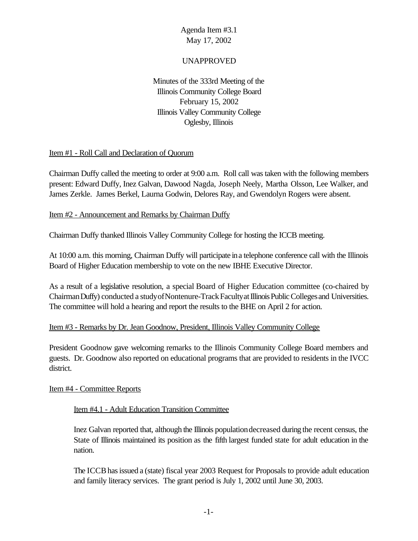### UNAPPROVED

Minutes of the 333rd Meeting of the Illinois Community College Board February 15, 2002 Illinois Valley Community College Oglesby, Illinois

#### Item #1 - Roll Call and Declaration of Quorum

Chairman Duffy called the meeting to order at 9:00 a.m. Roll call was taken with the following members present: Edward Duffy, Inez Galvan, Dawood Nagda, Joseph Neely, Martha Olsson, Lee Walker, and James Zerkle. James Berkel, Laurna Godwin, Delores Ray, and Gwendolyn Rogers were absent.

#### Item #2 - Announcement and Remarks by Chairman Duffy

Chairman Duffy thanked Illinois Valley Community College for hosting the ICCB meeting.

At 10:00 a.m. this morning, Chairman Duffy will participate in a telephone conference call with the Illinois Board of Higher Education membership to vote on the new IBHE Executive Director.

As a result of a legislative resolution, a special Board of Higher Education committee (co-chaired by Chairman Duffy) conducted a study of Nontenure-Track Faculty at Illinois Public Colleges and Universities. The committee will hold a hearing and report the results to the BHE on April 2 for action.

#### Item #3 - Remarks by Dr. Jean Goodnow, President, Illinois Valley Community College

President Goodnow gave welcoming remarks to the Illinois Community College Board members and guests. Dr. Goodnow also reported on educational programs that are provided to residents in the IVCC district.

#### Item #4 - Committee Reports

#### Item #4.1 - Adult Education Transition Committee

Inez Galvan reported that, although the Illinois populationdecreased during the recent census, the State of Illinois maintained its position as the fifth largest funded state for adult education in the nation.

The ICCB has issued a (state) fiscal year 2003 Request for Proposals to provide adult education and family literacy services. The grant period is July 1, 2002 until June 30, 2003.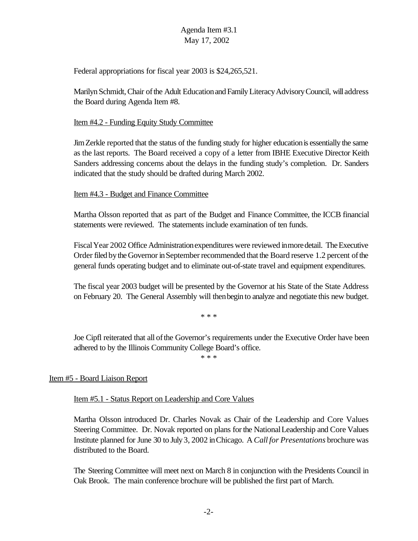Federal appropriations for fiscal year 2003 is \$24,265,521.

Marilyn Schmidt, Chair of the Adult Education and Family Literacy Advisory Council, will address the Board during Agenda Item #8.

### Item #4.2 - Funding Equity Study Committee

JimZerkle reported that the status of the funding study for higher educationis essentially the same as the last reports. The Board received a copy of a letter from IBHE Executive Director Keith Sanders addressing concerns about the delays in the funding study's completion. Dr. Sanders indicated that the study should be drafted during March 2002.

### Item #4.3 - Budget and Finance Committee

Martha Olsson reported that as part of the Budget and Finance Committee, the ICCB financial statements were reviewed. The statements include examination of ten funds.

FiscalYear 2002 Office Administrationexpenditures were reviewed inmoredetail. The Executive Order filed by the Governor in September recommended that the Board reserve 1.2 percent of the general funds operating budget and to eliminate out-of-state travel and equipment expenditures.

The fiscal year 2003 budget will be presented by the Governor at his State of the State Address on February 20. The General Assembly will thenbegin to analyze and negotiate this new budget.

\* \* \*

Joe Cipfl reiterated that all of the Governor's requirements under the Executive Order have been adhered to by the Illinois Community College Board's office.

\* \* \*

# Item #5 - Board Liaison Report

# Item #5.1 - Status Report on Leadership and Core Values

Martha Olsson introduced Dr. Charles Novak as Chair of the Leadership and Core Values Steering Committee. Dr. Novak reported on plans forthe NationalLeadership and Core Values Institute planned for June 30 to July 3, 2002 inChicago. A *Call for Presentations* brochure was distributed to the Board.

The Steering Committee will meet next on March 8 in conjunction with the Presidents Council in Oak Brook. The main conference brochure will be published the first part of March.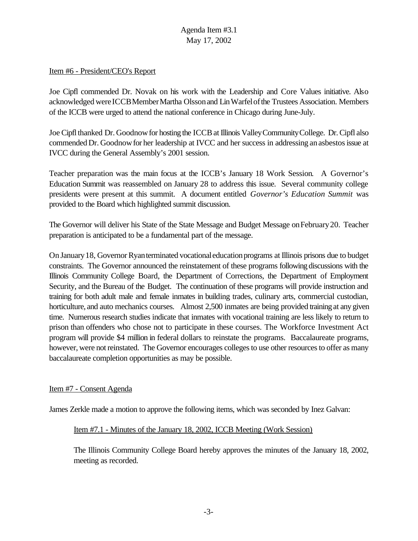#### Item #6 - President/CEO's Report

Joe Cipfl commended Dr. Novak on his work with the Leadership and Core Values initiative. Also acknowledged wereICCBMemberMartha Olssonand LinWarfelofthe Trustees Association. Members of the ICCB were urged to attend the national conference in Chicago during June-July.

Joe Cipflthanked Dr. Goodnowfor hosting the ICCBat Illinois ValleyCommunityCollege. Dr. Cipfl also commended Dr. Goodnow for her leadership at IVCC and her success in addressing an asbestos issue at IVCC during the General Assembly's 2001 session.

Teacher preparation was the main focus at the ICCB's January 18 Work Session. A Governor's Education Summit was reassembled on January 28 to address this issue. Several community college presidents were present at this summit. A document entitled *Governor's Education Summit* was provided to the Board which highlighted summit discussion.

The Governor will deliver his State of the State Message and Budget Message onFebruary20. Teacher preparation is anticipated to be a fundamental part of the message.

On January 18, Governor Ryan terminated vocational education programs at Illinois prisons due to budget constraints. The Governor announced the reinstatement of these programs following discussions with the Illinois Community College Board, the Department of Corrections, the Department of Employment Security, and the Bureau of the Budget. The continuation of these programs will provide instruction and training for both adult male and female inmates in building trades, culinary arts, commercial custodian, horticulture, and auto mechanics courses. Almost 2,500 inmates are being provided training at any given time. Numerous research studies indicate that inmates with vocational training are less likely to return to prison than offenders who chose not to participate in these courses. The Workforce Investment Act program will provide \$4 million in federal dollars to reinstate the programs. Baccalaureate programs, however, were not reinstated. The Governor encourages colleges to use other resources to offer as many baccalaureate completion opportunities as may be possible.

#### Item #7 - Consent Agenda

James Zerkle made a motion to approve the following items, which was seconded by Inez Galvan:

#### Item #7.1 - Minutes of the January 18, 2002, ICCB Meeting (Work Session)

The Illinois Community College Board hereby approves the minutes of the January 18, 2002, meeting as recorded.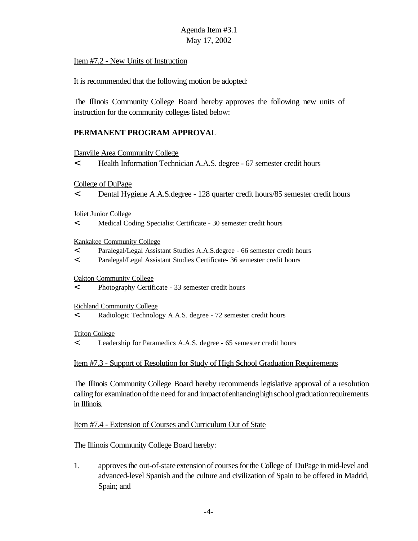#### Item #7.2 - New Units of Instruction

It is recommended that the following motion be adopted:

The Illinois Community College Board hereby approves the following new units of instruction for the community colleges listed below:

### **PERMANENT PROGRAM APPROVAL**

#### Danville Area Community College

< Health Information Technician A.A.S. degree - 67 semester credit hours

College of DuPage

< Dental Hygiene A.A.S.degree - 128 quarter credit hours/85 semester credit hours

Joliet Junior College

< Medical Coding Specialist Certificate - 30 semester credit hours

#### Kankakee Community College

- < Paralegal/Legal Assistant Studies A.A.S.degree 66 semester credit hours
- < Paralegal/Legal Assistant Studies Certificate- 36 semester credit hours

#### Oakton Community College

< Photography Certificate - 33 semester credit hours

Richland Community College

< Radiologic Technology A.A.S. degree - 72 semester credit hours

#### Triton College

< Leadership for Paramedics A.A.S. degree - 65 semester credit hours

#### Item #7.3 - Support of Resolution for Study of High School Graduation Requirements

The Illinois Community College Board hereby recommends legislative approval of a resolution calling for examination of the need for and impact of enhancing high school graduation requirements in Illinois.

#### Item #7.4 - Extension of Courses and Curriculum Out of State

The Illinois Community College Board hereby:

1. approves the out-of-state extension of courses for the College of DuPage in mid-level and advanced-level Spanish and the culture and civilization of Spain to be offered in Madrid, Spain; and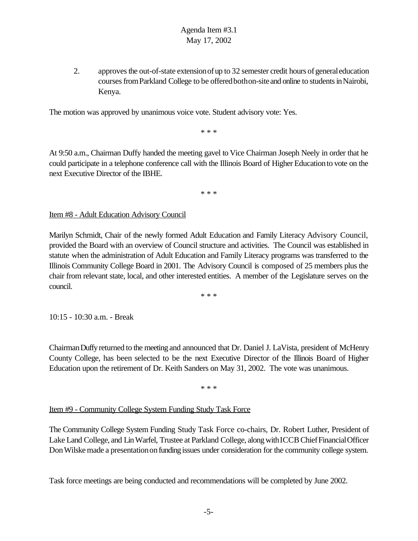2. approves the out-of-state extension of up to 32 semester credit hours of general education courses from Parkland College to be offered bothon-site and online to students in Nairobi, Kenya.

The motion was approved by unanimous voice vote. Student advisory vote: Yes.

\* \* \*

At 9:50 a.m., Chairman Duffy handed the meeting gavel to Vice Chairman Joseph Neely in order that he could participate in a telephone conference call with the Illinois Board of Higher Education to vote on the next Executive Director of the IBHE.

\* \* \*

Item #8 - Adult Education Advisory Council

Marilyn Schmidt, Chair of the newly formed Adult Education and Family Literacy Advisory Council, provided the Board with an overview of Council structure and activities. The Council was established in statute when the administration of Adult Education and Family Literacy programs was transferred to the Illinois Community College Board in 2001. The Advisory Council is composed of 25 members plus the chair from relevant state, local, and other interested entities. A member of the Legislature serves on the council.

\* \* \*

10:15 - 10:30 a.m. - Break

ChairmanDuffyreturned to the meeting and announced that Dr. Daniel J. LaVista, president of McHenry County College, has been selected to be the next Executive Director of the Illinois Board of Higher Education upon the retirement of Dr. Keith Sanders on May 31, 2002. The vote was unanimous.

\* \* \*

#### Item #9 - Community College System Funding Study Task Force

The Community College System Funding Study Task Force co-chairs, Dr. Robert Luther, President of Lake Land College, and LinWarfel, Trustee at Parkland College, alongwithICCBChiefFinancialOfficer Don Wilske made a presentation on funding issues under consideration for the community college system.

Task force meetings are being conducted and recommendations will be completed by June 2002.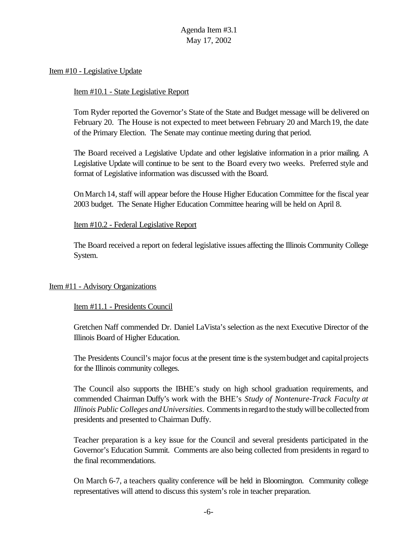#### Item #10 - Legislative Update

#### Item #10.1 - State Legislative Report

Tom Ryder reported the Governor's State of the State and Budget message will be delivered on February 20. The House is not expected to meet between February 20 and March19, the date of the Primary Election. The Senate may continue meeting during that period.

The Board received a Legislative Update and other legislative information in a prior mailing. A Legislative Update will continue to be sent to the Board every two weeks. Preferred style and format of Legislative information was discussed with the Board.

On March 14, staff will appear before the House Higher Education Committee for the fiscal year 2003 budget. The Senate Higher Education Committee hearing will be held on April 8.

#### Item #10.2 - Federal Legislative Report

The Board received a report on federal legislative issues affecting the Illinois Community College System.

#### Item #11 - Advisory Organizations

#### Item #11.1 - Presidents Council

Gretchen Naff commended Dr. Daniel LaVista's selection as the next Executive Director of the Illinois Board of Higher Education.

The Presidents Council's major focus at the present time is the system budget and capital projects for the Illinois community colleges.

The Council also supports the IBHE's study on high school graduation requirements, and commended Chairman Duffy's work with the BHE's *Study of Nontenure-Track Faculty at Illinois Public Colleges andUniversities*. Comments in regard to the study will be collected from presidents and presented to Chairman Duffy.

Teacher preparation is a key issue for the Council and several presidents participated in the Governor's Education Summit. Comments are also being collected from presidents in regard to the final recommendations.

On March 6-7, a teachers quality conference will be held in Bloomington. Community college representatives will attend to discuss this system's role in teacher preparation.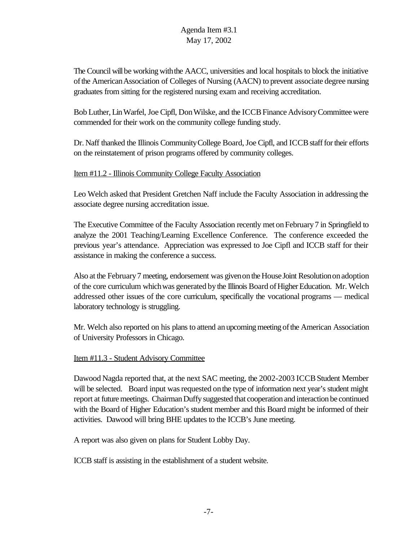The Council will be working with the AACC, universities and local hospitals to block the initiative ofthe AmericanAssociation of Colleges of Nursing (AACN) to prevent associate degree nursing graduates from sitting for the registered nursing exam and receiving accreditation.

Bob Luther, LinWarfel, Joe Cipfl, DonWilske, and the ICCBFinance AdvisoryCommittee were commended for their work on the community college funding study.

Dr. Naff thanked the Illinois Community College Board, Joe Cipfl, and ICCB staff for their efforts on the reinstatement of prison programs offered by community colleges.

### Item #11.2 - Illinois Community College Faculty Association

Leo Welch asked that President Gretchen Naff include the Faculty Association in addressing the associate degree nursing accreditation issue.

The Executive Committee of the Faculty Association recently met on February 7 in Springfield to analyze the 2001 Teaching/Learning Excellence Conference. The conference exceeded the previous year's attendance. Appreciation was expressed to Joe Cipfl and ICCB staff for their assistance in making the conference a success.

Also at the February7 meeting, endorsement was givenontheHouseJoint Resolutiononadoption of the core curriculum which was generated by the Illinois Board of Higher Education. Mr. Welch addressed other issues of the core curriculum, specifically the vocational programs — medical laboratory technology is struggling.

Mr. Welch also reported on his plans to attend an upcoming meeting of the American Association of University Professors in Chicago.

### Item #11.3 - Student Advisory Committee

Dawood Nagda reported that, at the next SAC meeting, the 2002-2003 ICCB Student Member will be selected. Board input was requested on the type of information next year's student might report at future meetings. Chairman Duffy suggested that cooperation and interaction be continued with the Board of Higher Education's student member and this Board might be informed of their activities. Dawood will bring BHE updates to the ICCB's June meeting.

A report was also given on plans for Student Lobby Day.

ICCB staff is assisting in the establishment of a student website.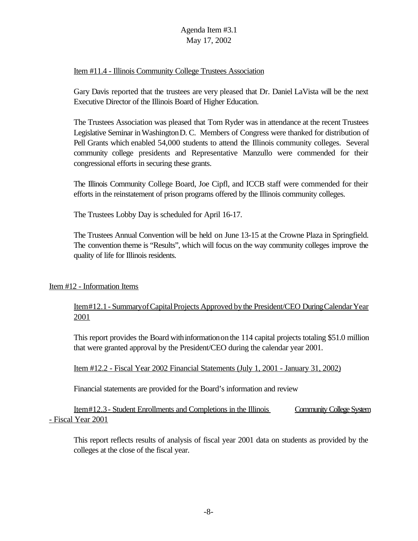## Item #11.4 - Illinois Community College Trustees Association

Gary Davis reported that the trustees are very pleased that Dr. Daniel LaVista will be the next Executive Director of the Illinois Board of Higher Education.

The Trustees Association was pleased that Tom Ryder was in attendance at the recent Trustees Legislative Seminar inWashingtonD. C. Members of Congress were thanked for distribution of Pell Grants which enabled 54,000 students to attend the Illinois community colleges. Several community college presidents and Representative Manzullo were commended for their congressional efforts in securing these grants.

The Illinois Community College Board, Joe Cipfl, and ICCB staff were commended for their efforts in the reinstatement of prison programs offered by the Illinois community colleges.

The Trustees Lobby Day is scheduled for April 16-17.

The Trustees Annual Convention will be held on June 13-15 at the Crowne Plaza in Springfield. The convention theme is "Results", which will focus on the way community colleges improve the quality of life for Illinois residents.

### Item #12 - Information Items

Item#12.1 - Summary of Capital Projects Approved by the President/CEO During Calendar Year 2001

This report provides the Board withinformationonthe 114 capital projects totaling \$51.0 million that were granted approval by the President/CEO during the calendar year 2001.

Item #12.2 - Fiscal Year 2002 Financial Statements (July 1, 2001 - January 31, 2002)

Financial statements are provided for the Board's information and review

Item#12.3 - Student Enrollments and Completions in the Illinois Community College System - Fiscal Year 2001

This report reflects results of analysis of fiscal year 2001 data on students as provided by the colleges at the close of the fiscal year.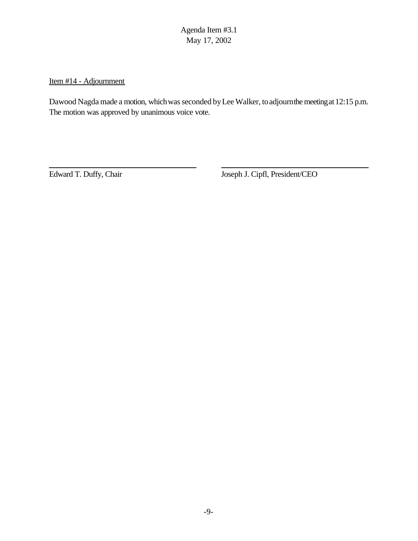Item #14 - Adjournment

Dawood Nagda made a motion, which was seconded by Lee Walker, to adjourn the meeting at 12:15 p.m. The motion was approved by unanimous voice vote.

Edward T. Duffy, Chair Joseph J. Cipfl, President/CEO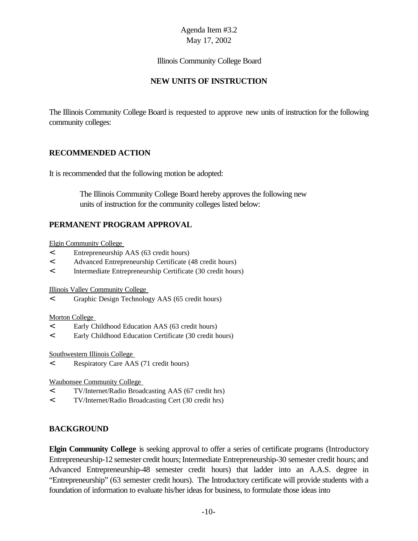#### Illinois Community College Board

# **NEW UNITS OF INSTRUCTION**

The Illinois Community College Board is requested to approve new units of instruction for the following community colleges:

### **RECOMMENDED ACTION**

It is recommended that the following motion be adopted:

 The Illinois Community College Board hereby approves the following new units of instruction for the community colleges listed below:

# **PERMANENT PROGRAM APPROVAL**

Elgin Community College

- < Entrepreneurship AAS (63 credit hours)
- < Advanced Entrepreneurship Certificate (48 credit hours)
- < Intermediate Entrepreneurship Certificate (30 credit hours)

Illinois Valley Community College

< Graphic Design Technology AAS (65 credit hours)

#### Morton College

- < Early Childhood Education AAS (63 credit hours)
- < Early Childhood Education Certificate (30 credit hours)

Southwestern Illinois College

< Respiratory Care AAS (71 credit hours)

Waubonsee Community College

- < TV/Internet/Radio Broadcasting AAS (67 credit hrs)
- < TV/Internet/Radio Broadcasting Cert (30 credit hrs)

# **BACKGROUND**

**Elgin Community College** is seeking approval to offer a series of certificate programs (Introductory Entrepreneurship-12 semester credit hours; Intermediate Entrepreneurship-30 semester credit hours; and Advanced Entrepreneurship-48 semester credit hours) that ladder into an A.A.S. degree in "Entrepreneurship" (63 semester credit hours). The Introductory certificate will provide students with a foundation of information to evaluate his/her ideas for business, to formulate those ideas into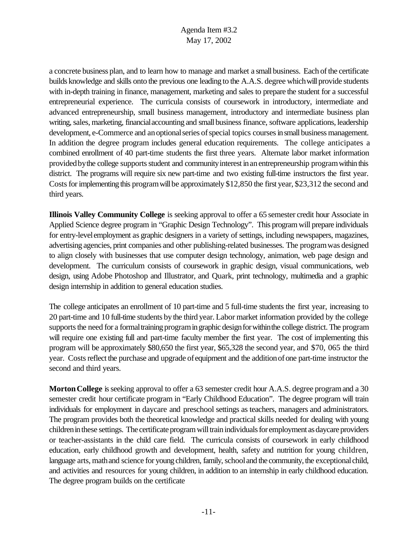a concrete business plan, and to learn how to manage and market a small business. Each of the certificate builds knowledge and skills onto the previous one leading to the A.A.S. degree which will provide students with in-depth training in finance, management, marketing and sales to prepare the student for a successful entrepreneurial experience. The curricula consists of coursework in introductory, intermediate and advanced entrepreneurship, small business management, introductory and intermediate business plan writing, sales, marketing, financial accounting and small business finance, software applications, leadership development, e-Commerce and an optional series of special topics courses in small business management. In addition the degree program includes general education requirements. The college anticipates a combined enrollment of 40 part-time students the first three years. Alternate labor market information provided by the college supports student and community interest in an entrepreneurship program within this district. The programs will require six new part-time and two existing full-time instructors the first year. Costs for implementing this program will be approximately \$12,850 the first year, \$23,312 the second and third years.

**Illinois Valley Community College** is seeking approval to offer a 65 semester credit hour Associate in Applied Science degree program in "Graphic Design Technology". This program will prepare individuals for entry-levelemployment as graphic designers in a variety of settings, including newspapers, magazines, advertising agencies, print companies and other publishing-related businesses. The programwas designed to align closely with businesses that use computer design technology, animation, web page design and development. The curriculum consists of coursework in graphic design, visual communications, web design, using Adobe Photoshop and Illustrator, and Quark, print technology, multimedia and a graphic design internship in addition to general education studies.

The college anticipates an enrollment of 10 part-time and 5 full-time students the first year, increasing to 20 part-time and 10 full-time students bythe third year. Labor market information provided by the college supports the need for a formal training program in graphic design for within the college district. The program will require one existing full and part-time faculty member the first year. The cost of implementing this program will be approximately \$80,650 the first year, \$65,328 the second year, and \$70, 065 the third year. Costs reflect the purchase and upgrade of equipment and the addition of one part-time instructor the second and third years.

**Morton College** is seeking approval to offer a 63 semester credit hour A.A.S. degree program and a 30 semester credit hour certificate program in "Early Childhood Education". The degree program will train individuals for employment in daycare and preschool settings as teachers, managers and administrators. The program provides both the theoretical knowledge and practical skills needed for dealing with young childreninthese settings. The certificate program will train individuals for employment as daycare providers or teacher-assistants in the child care field. The curricula consists of coursework in early childhood education, early childhood growth and development, health, safety and nutrition for young children, language arts, math and science for young children, family, school and the community, the exceptional child, and activities and resources for young children, in addition to an internship in early childhood education. The degree program builds on the certificate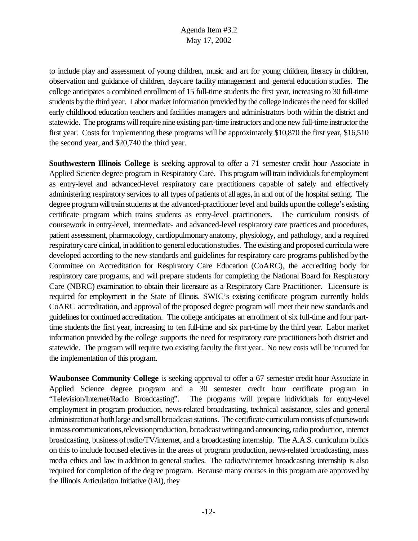to include play and assessment of young children, music and art for young children, literacy in children, observation and guidance of children, daycare facility management and general education studies. The college anticipates a combined enrollment of 15 full-time students the first year, increasing to 30 full-time students bythe third year. Labor market information provided by the college indicates the need for skilled early childhood education teachers and facilities managers and administrators both within the district and statewide. The programs will require nine existing part-time instructors and one new full-time instructor the first year. Costs for implementing these programs will be approximately \$10,870 the first year, \$16,510 the second year, and \$20,740 the third year.

**Southwestern Illinois College** is seeking approval to offer a 71 semester credit hour Associate in Applied Science degree program in Respiratory Care. This program will train individuals for employment as entry-level and advanced-level respiratory care practitioners capable of safely and effectively administering respiratory services to all types of patients of all ages, in and out of the hospital setting. The degree programwilltrain students at the advanced-practitioner level and builds uponthe college's existing certificate program which trains students as entry-level practitioners. The curriculum consists of coursework in entry-level, intermediate- and advanced-level respiratory care practices and procedures, patient assessment, pharmacology, cardiopulmonaryanatomy, physiology, and pathology, and a required respiratorycare clinical, inadditionto generaleducationstudies. The existing and proposed curricula were developed according to the new standards and guidelines for respiratory care programs published bythe Committee on Accreditation for Respiratory Care Education (CoARC), the accrediting body for respiratory care programs, and will prepare students for completing the National Board for Respiratory Care (NBRC) examination to obtain their licensure as a Respiratory Care Practitioner. Licensure is required for employment in the State of Illinois*.* SWIC's existing certificate program currently holds CoARC accreditation, and approval of the proposed degree program will meet their new standards and guidelines for continued accreditation. The college anticipates an enrollment of six full-time and four parttime students the first year, increasing to ten full-time and six part-time by the third year. Labor market information provided by the college supports the need for respiratory care practitioners both district and statewide. The program will require two existing faculty the first year. No new costs will be incurred for the implementation of this program.

**Waubonsee Community College** is seeking approval to offer a 67 semester credit hour Associate in Applied Science degree program and a 30 semester credit hour certificate program in "Television/Internet/Radio Broadcasting". The programs will prepare individuals for entry-level employment in program production, news-related broadcasting, technical assistance, sales and general administration at both large and small broadcast stations. The certificate curriculum consists of coursework in mass communications, television production, broadcast writing and announcing, radio production, internet broadcasting, business ofradio/TV/internet, and a broadcasting internship. The A.A.S. curriculum builds on this to include focused electives in the areas of program production, news-related broadcasting, mass media ethics and law in addition to general studies. The radio/tv/internet broadcasting internship is also required for completion of the degree program. Because many courses in this program are approved by the Illinois Articulation Initiative (IAI), they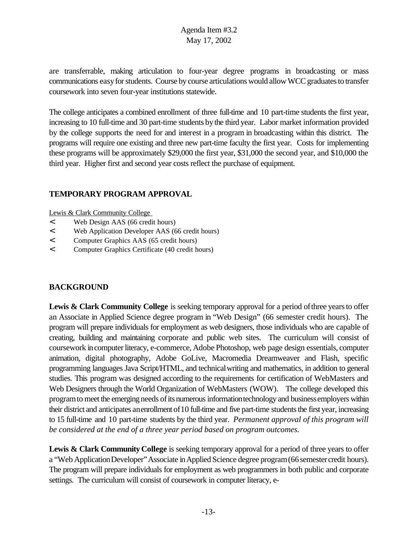are transferrable, making articulation to four-year degree programs in broadcasting or mass communications easy for students. Course by course articulations would allow WCC graduates to transfer coursework into seven four-year institutions statewide.

The college anticipates a combined enrollment of three full-time and 10 part-time students the first year, increasing to 10 full-time and 30 part-time students bythe third year. Labor market information provided by the college supports the need for and interest in a program in broadcasting within this district. The programs will require one existing and three new part-time faculty the first year. Costs for implementing these programs will be approximately \$29,000 the first year, \$31,000 the second year, and \$10,000 the third year. Higher first and second year costs reflect the purchase of equipment.

### **TEMPORARY PROGRAM APPROVAL**

Lewis & Clark Community College

- < Web Design AAS (66 credit hours)
- < Web Application Developer AAS (66 credit hours)
- < Computer Graphics AAS (65 credit hours)
- < Computer Graphics Certificate (40 credit hours)

# **BACKGROUND**

**Lewis & Clark Community College** is seeking temporary approval for a period of three years to offer an Associate in Applied Science degree program in "Web Design" (66 semester credit hours). The program will prepare individuals for employment as web designers, those individuals who are capable of creating, building and maintaining corporate and public web sites. The curriculum will consist of coursework incomputerliteracy, e-commerce, Adobe Photoshop, web page design essentials, computer animation, digital photography, Adobe GoLive, Macromedia Dreamweaver and Flash, specific programming languages Java Script/HTML, and technicalwriting and mathematics, in addition to general studies. This program was designed according to the requirements for certification of WebMasters and Web Designers through the World Organization of WebMasters (WOW). The college developed this programto meet the emerging needs ofits numerous informationtechnology and businessemployers within their district and anticipates anenrollment of 10 full-time and five part-time students the first year, increasing to 15 full-time and 10 part-time students by the third year. *Permanent approval of this program will be considered at the end of a three year period based on program outcomes.* 

**Lewis & Clark Community College** is seeking temporary approval for a period of three years to offer a "Web Application Developer" Associate in Applied Science degree program (66 semester credit hours). The program will prepare individuals for employment as web programmers in both public and corporate settings. The curriculum will consist of coursework in computer literacy, e-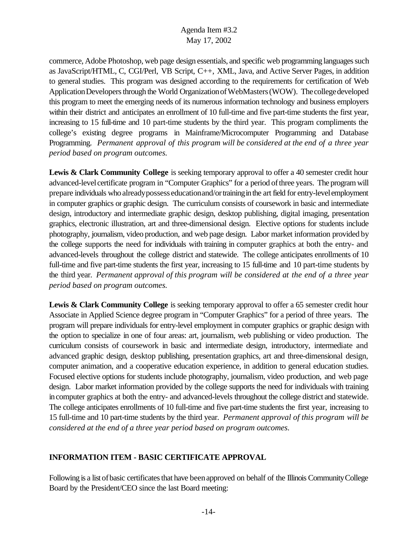commerce, Adobe Photoshop, web page design essentials, and specific web programming languages such as JavaScript/HTML, C, CGI/Perl, VB Script, C++, XML, Java, and Active Server Pages, in addition to general studies. This program was designed according to the requirements for certification of Web Application Developers through the World Organization of WebMasters (WOW). The college developed this program to meet the emerging needs of its numerous information technology and business employers within their district and anticipates an enrollment of 10 full-time and five part-time students the first year, increasing to 15 full-time and 10 part-time students by the third year. This program compliments the college's existing degree programs in Mainframe/Microcomputer Programming and Database Programming. *Permanent approval of this program will be considered at the end of a three year period based on program outcomes.* 

**Lewis & Clark Community College** is seeking temporary approval to offer a 40 semester credit hour advanced-level certificate program in "Computer Graphics" for a period of three years. The program will prepare individuals who alreadypossess educationand/ortraininginthe art field for entry-levelemployment in computer graphics or graphic design. The curriculum consists of coursework in basic and intermediate design, introductory and intermediate graphic design, desktop publishing, digital imaging, presentation graphics, electronic illustration, art and three-dimensional design. Elective options for students include photography, journalism, video production, and web page design. Labor market information provided by the college supports the need for individuals with training in computer graphics at both the entry- and advanced-levels throughout the college district and statewide. The college anticipates enrollments of 10 full-time and five part-time students the first year, increasing to 15 full-time and 10 part-time students by the third year. *Permanent approval of this program will be considered at the end of a three year period based on program outcomes.* 

**Lewis & Clark Community College** is seeking temporary approval to offer a 65 semester credit hour Associate in Applied Science degree program in "Computer Graphics" for a period of three years. The program will prepare individuals for entry-level employment in computer graphics or graphic design with the option to specialize in one of four areas: art, journalism, web publishing or video production. The curriculum consists of coursework in basic and intermediate design, introductory, intermediate and advanced graphic design, desktop publishing, presentation graphics, art and three-dimensional design, computer animation, and a cooperative education experience, in addition to general education studies. Focused elective options for students include photography, journalism, video production, and web page design. Labor market information provided by the college supports the need for individuals with training in computer graphics at both the entry- and advanced-levels throughout the college district and statewide. The college anticipates enrollments of 10 full-time and five part-time students the first year, increasing to 15 full-time and 10 part-time students by the third year. *Permanent approval of this program will be considered at the end of a three year period based on program outcomes.* 

### **INFORMATION ITEM - BASIC CERTIFICATE APPROVAL**

Following is a list of basic certificates that have been approved on behalf of the Illinois Community College Board by the President/CEO since the last Board meeting: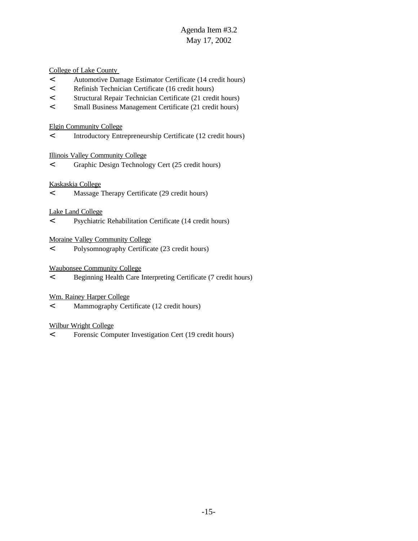College of Lake County

- < Automotive Damage Estimator Certificate (14 credit hours)
- < Refinish Technician Certificate (16 credit hours)
- < Structural Repair Technician Certificate (21 credit hours)
- < Small Business Management Certificate (21 credit hours)

#### Elgin Community College

< Introductory Entrepreneurship Certificate (12 credit hours)

#### Illinois Valley Community College

< Graphic Design Technology Cert (25 credit hours)

#### Kaskaskia College

< Massage Therapy Certificate (29 credit hours)

#### Lake Land College

< Psychiatric Rehabilitation Certificate (14 credit hours)

Moraine Valley Community College

< Polysomnography Certificate (23 credit hours)

#### Waubonsee Community College

< Beginning Health Care Interpreting Certificate (7 credit hours)

#### Wm. Rainey Harper College

< Mammography Certificate (12 credit hours)

#### Wilbur Wright College

< Forensic Computer Investigation Cert (19 credit hours)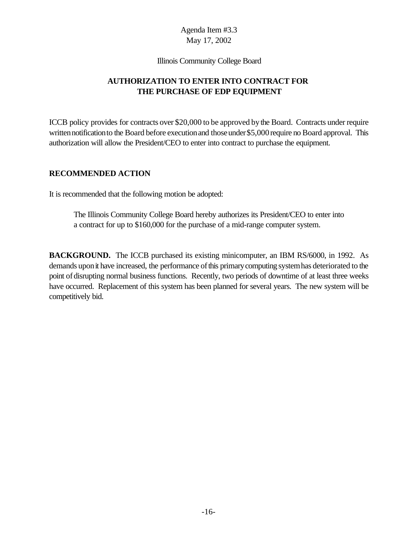Illinois Community College Board

# **AUTHORIZATION TO ENTER INTO CONTRACT FOR THE PURCHASE OF EDP EQUIPMENT**

ICCB policy provides for contracts over \$20,000 to be approved bythe Board. Contracts under require written notification to the Board before execution and those under \$5,000 require no Board approval. This authorization will allow the President/CEO to enter into contract to purchase the equipment.

### **RECOMMENDED ACTION**

It is recommended that the following motion be adopted:

The Illinois Community College Board hereby authorizes its President/CEO to enter into a contract for up to \$160,000 for the purchase of a mid-range computer system.

**BACKGROUND.** The ICCB purchased its existing minicomputer, an IBM RS/6000, in 1992. As demands upon it have increased, the performance of this primary computing system has deteriorated to the point of disrupting normal business functions. Recently, two periods of downtime of at least three weeks have occurred. Replacement of this system has been planned for several years. The new system will be competitively bid.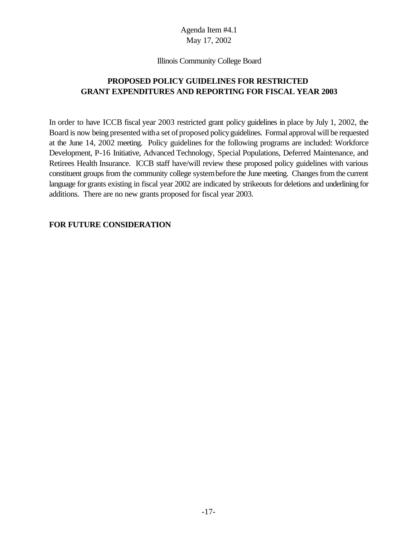#### Illinois Community College Board

# **PROPOSED POLICY GUIDELINES FOR RESTRICTED GRANT EXPENDITURES AND REPORTING FOR FISCAL YEAR 2003**

In order to have ICCB fiscal year 2003 restricted grant policy guidelines in place by July 1, 2002, the Board is now being presented with a set of proposed policy guidelines. Formal approval will be requested at the June 14, 2002 meeting. Policy guidelines for the following programs are included: Workforce Development, P-16 Initiative, Advanced Technology, Special Populations, Deferred Maintenance, and Retirees Health Insurance. ICCB staff have/will review these proposed policy guidelines with various constituent groups from the community college systembefore the June meeting. Changes from the current language for grants existing in fiscal year 2002 are indicated by strikeouts for deletions and underlining for additions. There are no new grants proposed for fiscal year 2003.

#### **FOR FUTURE CONSIDERATION**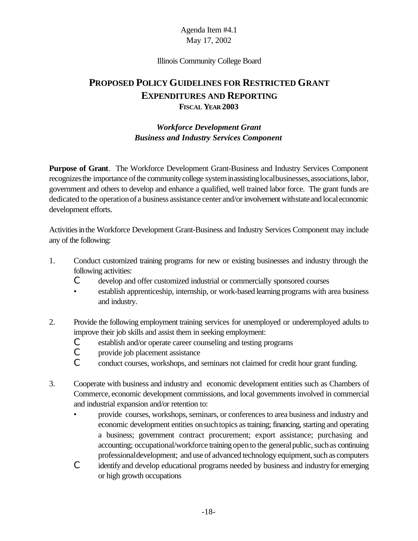#### Illinois Community College Board

# **PROPOSED POLICY GUIDELINES FOR RESTRICTED GRANT EXPENDITURES AND REPORTING FISCAL YEAR 2003**

# *Workforce Development Grant Business and Industry Services Component*

**Purpose of Grant**. The Workforce Development Grant-Business and Industry Services Component recognizes the importance of the community college system in assisting local businesses, associations, labor, government and others to develop and enhance a qualified, well trained labor force. The grant funds are dedicated to the operation of a business assistance center and/or involvement with state and local economic development efforts.

Activities in the Workforce Development Grant-Business and Industry Services Component may include any of the following:

- 1. Conduct customized training programs for new or existing businesses and industry through the following activities:
	- C develop and offer customized industrial or commercially sponsored courses
	- establish apprenticeship, internship, or work-based learning programs with area business and industry.
- 2. Provide the following employment training services for unemployed or underemployed adults to improve their job skills and assist them in seeking employment:
	- C establish and/or operate career counseling and testing programs
	- C provide job placement assistance
	- C conduct courses, workshops, and seminars not claimed for credit hour grant funding.
- 3. Cooperate with business and industry and economic development entities such as Chambers of Commerce, economic development commissions, and local governments involved in commercial and industrial expansion and/or retention to:
	- provide courses, workshops, seminars, or conferences to area business and industry and economic development entities on such topics as training; financing, starting and operating a business; government contract procurement; export assistance; purchasing and accounting; occupational/workforce training open to the general public, such as continuing professionaldevelopment; and use of advanced technology equipment, such as computers
	- C identify and develop educational programs needed by business and industryfor emerging or high growth occupations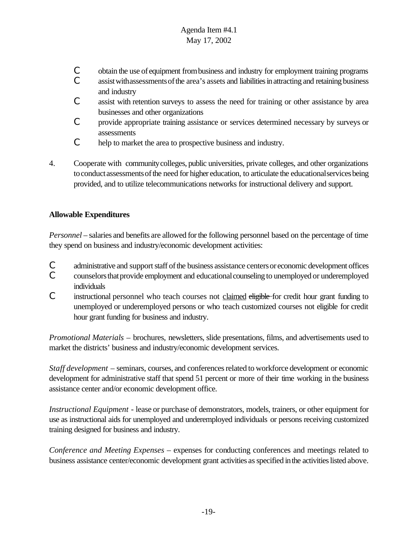- C obtain the use of equipment frombusiness and industry for employment training programs
- C assist with assessments of the area's assets and liabilities in attracting and retaining business and industry
- C assist with retention surveys to assess the need for training or other assistance by area businesses and other organizations
- C provide appropriate training assistance or services determined necessary by surveys or assessments
- C help to market the area to prospective business and industry.
- 4. Cooperate with communitycolleges, public universities, private colleges, and other organizations to conduct assessments of the need for higher education, to articulate the educational services being provided, and to utilize telecommunications networks for instructional delivery and support.

# **Allowable Expenditures**

*Personnel* – salaries and benefits are allowed for the following personnel based on the percentage of time they spend on business and industry/economic development activities:

- C administrative and support staff of the business assistance centers or economic development offices
- C counselors that provide employment and educational counseling to unemployed or underemployed individuals
- C instructional personnel who teach courses not claimed eligible for credit hour grant funding to unemployed or underemployed persons or who teach customized courses not eligible for credit hour grant funding for business and industry.

*Promotional Materials* – brochures, newsletters, slide presentations, films, and advertisements used to market the districts' business and industry/economic development services.

*Staff development* – seminars, courses, and conferences related to workforce development or economic development for administrative staff that spend 51 percent or more of their time working in the business assistance center and/or economic development office.

*Instructional Equipment* - lease or purchase of demonstrators, models, trainers, or other equipment for use as instructional aids for unemployed and underemployed individuals or persons receiving customized training designed for business and industry.

*Conference and Meeting Expenses* – expenses for conducting conferences and meetings related to business assistance center/economic development grant activities as specified in the activities listed above.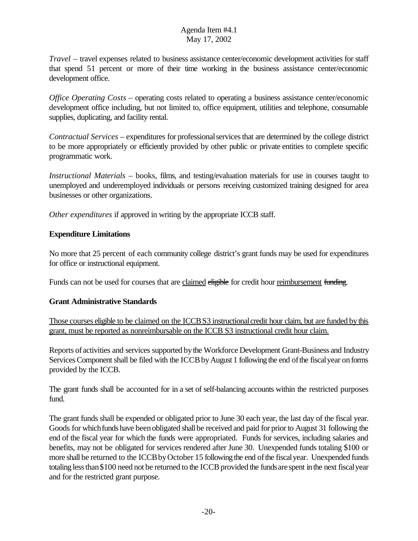*Travel* – travel expenses related to business assistance center/economic development activities for staff that spend 51 percent or more of their time working in the business assistance center/economic development office.

*Office Operating Costs* – operating costs related to operating a business assistance center/economic development office including, but not limited to, office equipment, utilities and telephone, consumable supplies, duplicating, and facility rental.

*Contractual Services* – expenditures for professionalservicesthat are determined by the college district to be more appropriately or efficiently provided by other public or private entities to complete specific programmatic work.

*Instructional Materials* – books, films, and testing/evaluation materials for use in courses taught to unemployed and underemployed individuals or persons receiving customized training designed for area businesses or other organizations.

*Other expenditures* if approved in writing by the appropriate ICCB staff.

# **Expenditure Limitations**

No more that 25 percent of each community college district's grant funds may be used for expenditures for office or instructional equipment.

Funds can not be used for courses that are claimed eligible for credit hour reimbursement funding.

# **Grant Administrative Standards**

Those courses eligible to be claimed on the ICCBS3 instructionalcredit hour claim, but are funded bythis grant, must be reported as nonreimbursable on the ICCB S3 instructional credit hour claim.

Reports of activities and services supported bythe Workforce Development Grant-Business and Industry Services Component shall be filed with the ICCB by August 1 following the end of the fiscal year on forms provided by the ICCB.

The grant funds shall be accounted for in a set of self-balancing accounts within the restricted purposes fund.

The grant funds shall be expended or obligated prior to June 30 each year, the last day of the fiscal year. Goods for which funds have been obligated shall be received and paid for prior to August 31 following the end of the fiscal year for which the funds were appropriated. Funds for services, including salaries and benefits, may not be obligated for services rendered after June 30. Unexpended funds totaling \$100 or more shall be returned to the ICCB by October 15 following the end of the fiscal year. Unexpended funds totaling less than \$100 need not be returned to the ICCB provided the funds are spent in the next fiscal year and for the restricted grant purpose.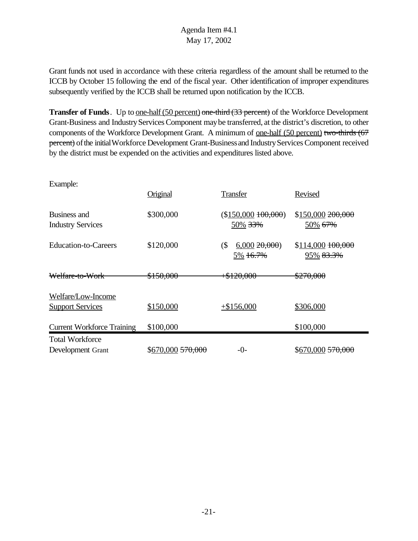Grant funds not used in accordance with these criteria regardless of the amount shall be returned to the ICCB by October 15 following the end of the fiscal year. Other identification of improper expenditures subsequently verified by the ICCB shall be returned upon notification by the ICCB.

**Transfer of Funds**. Up to <u>one-half (50 percent)</u> one-third (33 percent) of the Workforce Development Grant-Business and Industry Services Component may be transferred, at the district's discretion, to other components of the Workforce Development Grant. A minimum of <u>one-half (50 percent)</u> two-thirds (67 percent) of the initial Workforce Development Grant-Business and Industry Services Component received by the district must be expended on the activities and expenditures listed above.

| Example:                                 |                      |                                              |                                   |
|------------------------------------------|----------------------|----------------------------------------------|-----------------------------------|
|                                          | Original             | Transfer                                     | Revised                           |
| Business and<br><b>Industry Services</b> | \$300,000            | (\$150,000 100,000)<br>50% 33%               | \$150,000200,000<br>50% 67%       |
| Education-to-Careers                     | \$120,000            | $($ \$<br>6,00020,000<br>5% <del>16.7%</del> | $$114,000$ $100,000$<br>95% 83.3% |
| Welfare-to-Work                          | <del>\$150,000</del> | $+ $120,000$                                 | \$270,000                         |
| Welfare/Low-Income                       |                      |                                              |                                   |
| <b>Support Services</b>                  | \$150,000            | $+\$156,000$                                 | \$306,000                         |
| <b>Current Workforce Training</b>        | \$100,000            |                                              | \$100,000                         |
| <b>Total Workforce</b>                   |                      |                                              |                                   |
| Development Grant                        | \$670,000 570,000    | $-()$ -                                      | \$670,000 <del>570,000</del>      |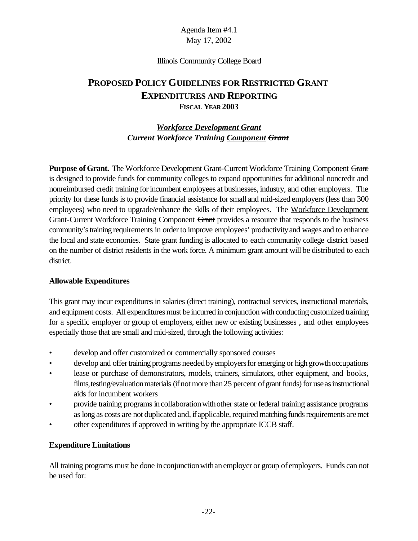#### Illinois Community College Board

# **PROPOSED POLICY GUIDELINES FOR RESTRICTED GRANT EXPENDITURES AND REPORTING FISCAL YEAR 2003**

# *Workforce Development Grant Current Workforce Training Component Grant*

Purpose of Grant. The Workforce Development Grant-Current Workforce Training Component Grant is designed to provide funds for community colleges to expand opportunities for additional noncredit and nonreimbursed credit training for incumbent employees at businesses, industry, and other employers. The priority for these funds is to provide financial assistance for small and mid-sized employers (less than 300 employees) who need to upgrade/enhance the skills of their employees. The Workforce Development Grant-Current Workforce Training Component Grant provides a resource that responds to the business community's training requirements in order to improve employees' productivity and wages and to enhance the local and state economies. State grant funding is allocated to each community college district based on the number of district residents in the work force. A minimum grant amount will be distributed to each district.

### **Allowable Expenditures**

This grant may incur expenditures in salaries (direct training), contractual services, instructional materials, and equipment costs. All expenditures must be incurred in conjunction with conducting customized training for a specific employer or group of employers, either new or existing businesses , and other employees especially those that are small and mid-sized, through the following activities:

- develop and offer customized or commercially sponsored courses
- develop and offer training programs needed by employers for emerging or high growth occupations
- lease or purchase of demonstrators, models, trainers, simulators, other equipment, and books, films, testing/evaluation materials (if not more than 25 percent of grant funds) for use as instructional aids for incumbent workers
- provide training programs incollaborationwithother state or federal training assistance programs as long as costs are not duplicated and, if applicable, required matching funds requirements are met
- other expenditures if approved in writing by the appropriate ICCB staff.

### **Expenditure Limitations**

All training programs must be done in conjunction with an employer or group of employers. Funds can not be used for: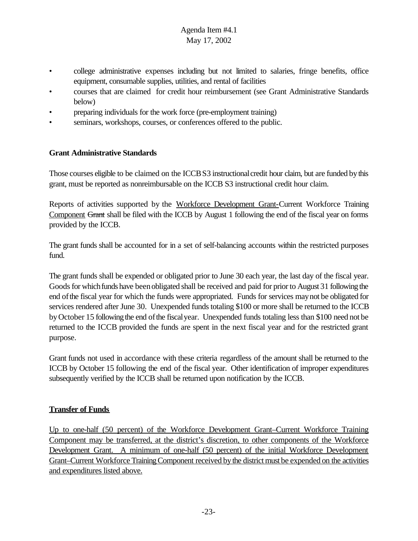- college administrative expenses including but not limited to salaries, fringe benefits, office equipment, consumable supplies, utilities, and rental of facilities
- courses that are claimed for credit hour reimbursement (see Grant Administrative Standards below)
- preparing individuals for the work force (pre-employment training)
- seminars, workshops, courses, or conferences offered to the public.

#### **Grant Administrative Standards**

Those courses eligible to be claimed on the ICCBS3 instructionalcredit hour claim, but are funded bythis grant, must be reported as nonreimbursable on the ICCB S3 instructional credit hour claim.

Reports of activities supported by the Workforce Development Grant-Current Workforce Training Component Grant shall be filed with the ICCB by August 1 following the end of the fiscal year on forms provided by the ICCB.

The grant funds shall be accounted for in a set of self-balancing accounts within the restricted purposes fund.

The grant funds shall be expended or obligated prior to June 30 each year, the last day of the fiscal year. Goods for which funds have been obligated shall be received and paid for prior to August 31 following the end of the fiscal year for which the funds were appropriated. Funds for services may not be obligated for services rendered after June 30. Unexpended funds totaling \$100 or more shall be returned to the ICCB byOctober 15 following the end ofthe fiscalyear. Unexpended funds totaling less than \$100 need not be returned to the ICCB provided the funds are spent in the next fiscal year and for the restricted grant purpose.

Grant funds not used in accordance with these criteria regardless of the amount shall be returned to the ICCB by October 15 following the end of the fiscal year. Other identification of improper expenditures subsequently verified by the ICCB shall be returned upon notification by the ICCB.

#### **Transfer of Funds**

Up to one-half (50 percent) of the Workforce Development Grant–Current Workforce Training Component may be transferred, at the district's discretion, to other components of the Workforce Development Grant. A minimum of one-half (50 percent) of the initial Workforce Development Grant–Current Workforce Training Component received by the district must be expended on the activities and expenditures listed above.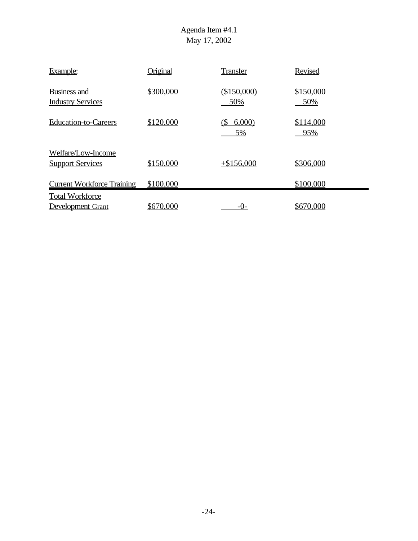| Example:                                        | Original  | <b>Transfer</b>    | Revised          |
|-------------------------------------------------|-----------|--------------------|------------------|
| <b>Business and</b><br><b>Industry Services</b> | \$300,000 | (\$150,000)<br>50% | \$150,000<br>50% |
| <b>Education-to-Careers</b>                     | \$120,000 | 6,000<br>(S<br>5%  | \$114,000<br>95% |
| Welfare/Low-Income<br><b>Support Services</b>   | \$150,000 | $+ $156,000$       | \$306,000        |
| <b>Current Workforce Training</b>               | \$100,000 |                    | \$100,000        |
| <b>Total Workforce</b><br>Development Grant     | \$670,000 | $-()$              | \$670,000        |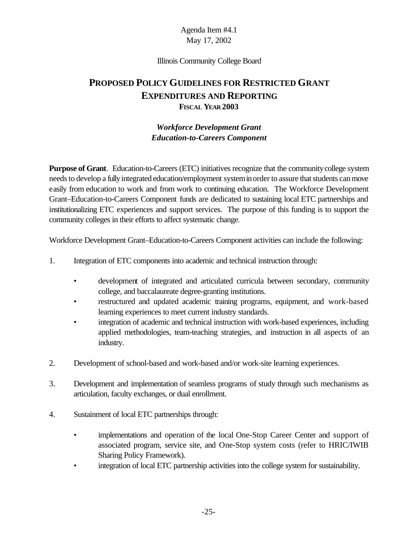#### Illinois Community College Board

# **PROPOSED POLICY GUIDELINES FOR RESTRICTED GRANT EXPENDITURES AND REPORTING FISCAL YEAR 2003**

## *Workforce Development Grant Education-to-Careers Component*

**Purpose of Grant**. Education-to-Careers (ETC) initiatives recognize that the communitycollege system needs to develop a fully integrated education/employment system in order to assure that students can move easily from education to work and from work to continuing education. The Workforce Development Grant–Education-to-Careers Component funds are dedicated to sustaining local ETC partnerships and institutionalizing ETC experiences and support services. The purpose of this funding is to support the community colleges in their efforts to affect systematic change.

Workforce Development Grant–Education-to-Careers Component activities can include the following:

- 1. Integration of ETC components into academic and technical instruction through:
	- development of integrated and articulated curricula between secondary, community college, and baccalaureate degree-granting institutions.
	- restructured and updated academic training programs, equipment, and work-based learning experiences to meet current industry standards.
	- integration of academic and technical instruction with work-based experiences, including applied methodologies, team-teaching strategies, and instruction in all aspects of an industry.
- 2. Development of school-based and work-based and/or work-site learning experiences.
- 3. Development and implementation of seamless programs of study through such mechanisms as articulation, faculty exchanges, or dual enrollment.
- 4. Sustainment of local ETC partnerships through:
	- implementations and operation of the local One-Stop Career Center and support of associated program, service site, and One-Stop system costs (refer to HRIC/IWIB Sharing Policy Framework).
	- integration of local ETC partnership activities into the college system for sustainability.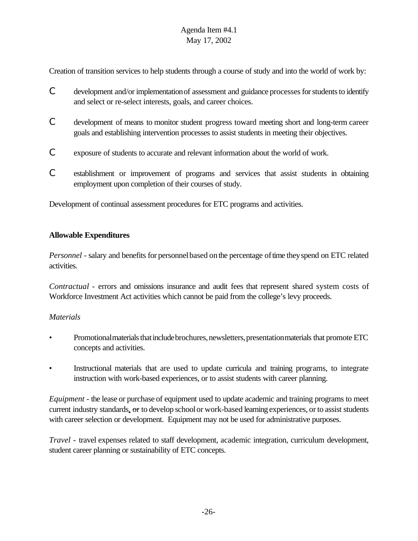Creation of transition services to help students through a course of study and into the world of work by:

- C development and/or implementationof assessment and guidance processesforstudentsto identify and select or re-select interests, goals, and career choices.
- C development of means to monitor student progress toward meeting short and long-term career goals and establishing intervention processes to assist students in meeting their objectives.
- C exposure of students to accurate and relevant information about the world of work.
- C establishment or improvement of programs and services that assist students in obtaining employment upon completion of their courses of study.

Development of continual assessment procedures for ETC programs and activities.

### **Allowable Expenditures**

*Personnel* - salary and benefits for personnel based on the percentage of time they spend on ETC related activities.

*Contractual* - errors and omissions insurance and audit fees that represent shared system costs of Workforce Investment Act activities which cannot be paid from the college's levy proceeds.

### *Materials*

- Promotional materials that include brochures, newsletters, presentation materials that promote ETC concepts and activities.
- Instructional materials that are used to update curricula and training programs, to integrate instruction with work-based experiences, or to assist students with career planning.

*Equipment* - the lease or purchase of equipment used to update academic and training programs to meet current industry standards, or to develop school or work-based learning experiences, or to assist students with career selection or development. Equipment may not be used for administrative purposes.

*Travel* - travel expenses related to staff development, academic integration, curriculum development, student career planning or sustainability of ETC concepts.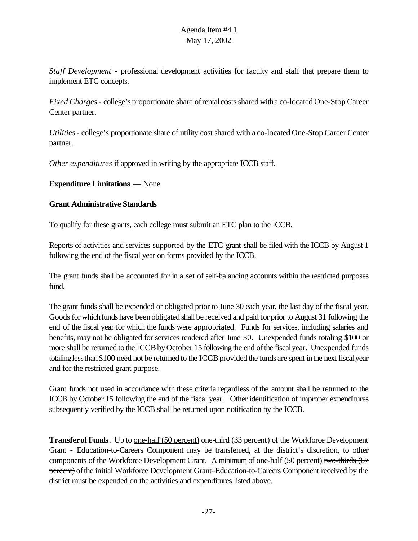*Staff Development* - professional development activities for faculty and staff that prepare them to implement ETC concepts.

*Fixed Charges*- college's proportionate share ofrentalcostsshared witha co-located One-Stop Career Center partner.

*Utilities*- college's proportionate share of utility cost shared with a co-located One-Stop Career Center partner.

*Other expenditures* if approved in writing by the appropriate ICCB staff.

### **Expenditure Limitations** — None

# **Grant Administrative Standards**

To qualify for these grants, each college must submit an ETC plan to the ICCB.

Reports of activities and services supported by the ETC grant shall be filed with the ICCB by August 1 following the end of the fiscal year on forms provided by the ICCB.

The grant funds shall be accounted for in a set of self-balancing accounts within the restricted purposes fund.

The grant funds shall be expended or obligated prior to June 30 each year, the last day of the fiscal year. Goods for which funds have been obligated shall be received and paid for prior to August 31 following the end of the fiscal year for which the funds were appropriated. Funds for services, including salaries and benefits, may not be obligated for services rendered after June 30. Unexpended funds totaling \$100 or more shall be returned to the ICCB by October 15 following the end of the fiscal year. Unexpended funds totaling less than \$100 need not be returned to the ICCB provided the funds are spent in the next fiscal year and for the restricted grant purpose.

Grant funds not used in accordance with these criteria regardless of the amount shall be returned to the ICCB by October 15 following the end of the fiscal year. Other identification of improper expenditures subsequently verified by the ICCB shall be returned upon notification by the ICCB.

**Transfer of Funds**. Up to <u>one-half (50 percent)</u> one-third (33 percent) of the Workforce Development Grant - Education-to-Careers Component may be transferred, at the district's discretion, to other components of the Workforce Development Grant. A minimum of <u>one-half (50 percent</u>) two-thirds (67 percent) of the initial Workforce Development Grant–Education-to-Careers Component received by the district must be expended on the activities and expenditures listed above.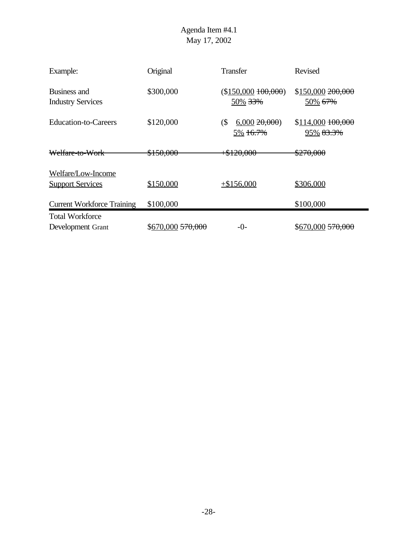| Example:                                      | Original                     | <b>Transfer</b>                   | Revised                           |
|-----------------------------------------------|------------------------------|-----------------------------------|-----------------------------------|
| Business and<br><b>Industry Services</b>      | \$300,000                    | (\$150,000100,000)<br>50% 33%     | \$150,000200,000<br>50% 67%       |
| <b>Education-to-Careers</b>                   | \$120,000                    | 6,00020,000<br>$($ \$<br>5% 16.7% | $$114,000$ $100,000$<br>95% 83.3% |
| Welfare-to-Work                               | \$150,000                    | $+ $120,000$                      | \$270,000                         |
| Welfare/Low-Income<br><b>Support Services</b> | \$150,000                    | $+ $156,000$                      | \$306,000                         |
| <b>Current Workforce Training</b>             | \$100,000                    |                                   | \$100,000                         |
| <b>Total Workforce</b>                        |                              |                                   |                                   |
| Development Grant                             | $$670,000 \frac{570,000}{ }$ | $-0-$                             | \$670,000 570,000                 |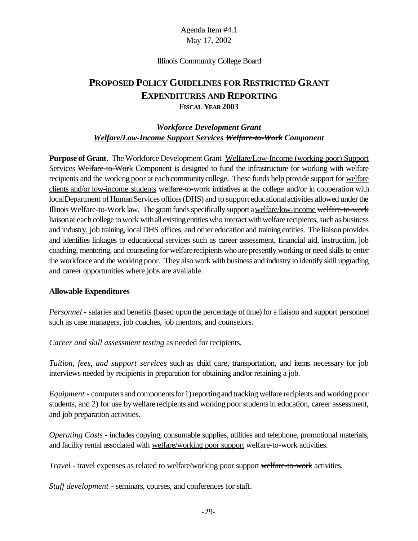#### Illinois Community College Board

# **PROPOSED POLICY GUIDELINES FOR RESTRICTED GRANT EXPENDITURES AND REPORTING FISCAL YEAR 2003**

## *Workforce Development Grant Welfare/Low-Income Support Services Welfare-to-Work Component*

**Purpose of Grant**. The Workforce Development Grant–Welfare/Low-Income (working poor) Support Services Welfare-to-Work Component is designed to fund the infrastructure for working with welfare recipients and the working poor at each community college. These funds help provide support for welfare clients and/or low-income students welfare-to-work initiatives at the college and/or in cooperation with local Department of Human Services offices (DHS) and to support educational activities allowed under the Illinois Welfare-to-Work law. The grant funds specifically support a welfare/low-income welfare-to-work liaison at each college to work with all existing entities who interact with welfare recipients, such as business and industry, job training, localDHS offices, and other educationand training entities. The liaison provides and identifies linkages to educational services such as career assessment, financial aid, instruction, job coaching, mentoring, and counseling for welfare recipients who are presently working or need skills to enter the workforce and the working poor. They also work with business and industry to identify skill upgrading and career opportunities where jobs are available.

### **Allowable Expenditures**

*Personnel* - salaries and benefits (based upon the percentage of time) for a liaison and support personnel such as case managers, job coaches, job mentors, and counselors.

*Career and skill assessment testing* as needed for recipients.

*Tuition, fees, and support services* such as child care, transportation, and items necessary for job interviews needed by recipients in preparation for obtaining and/or retaining a job.

*Equipment* - computers and components for 1) reporting and tracking welfare recipients and working poor students, and 2) for use by welfare recipients and working poor students in education, career assessment, and job preparation activities.

*Operating Costs -* includes copying, consumable supplies, utilities and telephone, promotional materials, and facility rental associated with welfare/working poor support welfare-to-work activities.

*Travel* - travel expenses as related to welfare/working poor support welfare-to-work activities.

*Staff development* - seminars, courses, and conferences for staff.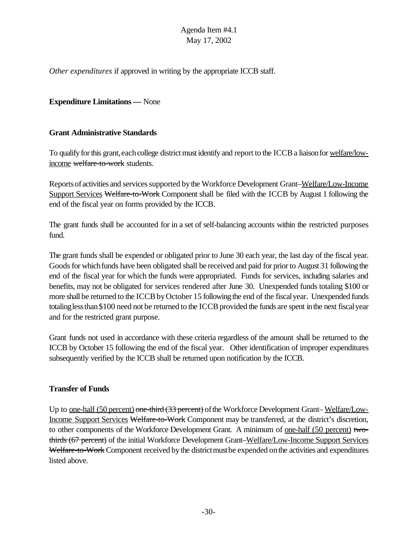*Other expenditures* if approved in writing by the appropriate ICCB staff.

### **Expenditure Limitations —** None

#### **Grant Administrative Standards**

To qualify for this grant, each college district must identify and report to the ICCB a liaison for <u>welfare/low-</u> income welfare-to-work students.

Reports of activities and services supported by the Workforce Development Grant–Welfare/Low-Income Support Services Welfare-to-Work Component shall be filed with the ICCB by August 1 following the end of the fiscal year on forms provided by the ICCB.

The grant funds shall be accounted for in a set of self-balancing accounts within the restricted purposes fund.

The grant funds shall be expended or obligated prior to June 30 each year, the last day of the fiscal year. Goods for which funds have been obligated shall be received and paid for prior to August 31 following the end of the fiscal year for which the funds were appropriated. Funds for services, including salaries and benefits, may not be obligated for services rendered after June 30. Unexpended funds totaling \$100 or more shall be returned to the ICCB by October 15 following the end of the fiscal year. Unexpended funds totaling less than \$100 need not be returned to the ICCB provided the funds are spent in the next fiscal year and for the restricted grant purpose.

Grant funds not used in accordance with these criteria regardless of the amount shall be returned to the ICCB by October 15 following the end of the fiscal year. Other identification of improper expenditures subsequently verified by the ICCB shall be returned upon notification by the ICCB.

#### **Transfer of Funds**

Up to <u>one-half (50 percent)</u> one-third (33 percent) of the Workforce Development Grant–Welfare/Low-Income Support Services Welfare-to-Work Component may be transferred, at the district's discretion, to other components of the Workforce Development Grant. A minimum of <u>one-half (50 percent)</u> twothirds (67 percent) of the initial Workforce Development Grant–Welfare/Low-Income Support Services Welfare-to-Work Component received by the district must be expended on the activities and expenditures listed above.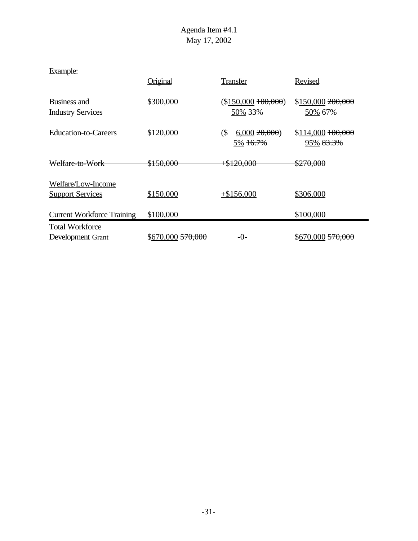| Example:                                      |                              |                                   |                                   |
|-----------------------------------------------|------------------------------|-----------------------------------|-----------------------------------|
|                                               | Original                     | <b>Transfer</b>                   | Revised                           |
| Business and<br><b>Industry Services</b>      | \$300,000                    | $($150,000\ 100,000)$<br>50% 33%  | \$150,000200,000<br>50% 67%       |
| Education-to-Careers                          | \$120,000                    | $($ \$<br>6,00020,000<br>5% 16.7% | $$114,000$ $100,000$<br>95% 83.3% |
| Welfare-to-Work                               | <del>\$150,000</del>         | <del>8120,000+</del>              | \$270,000                         |
| Welfare/Low-Income<br><b>Support Services</b> | \$150,000                    | $+$156,000$                       | \$306,000                         |
| <b>Current Workforce Training</b>             | \$100,000                    |                                   | \$100,000                         |
| <b>Total Workforce</b><br>Development Grant   | \$670,000 <del>570,000</del> | -0-                               | \$670,000 <del>570,000</del>      |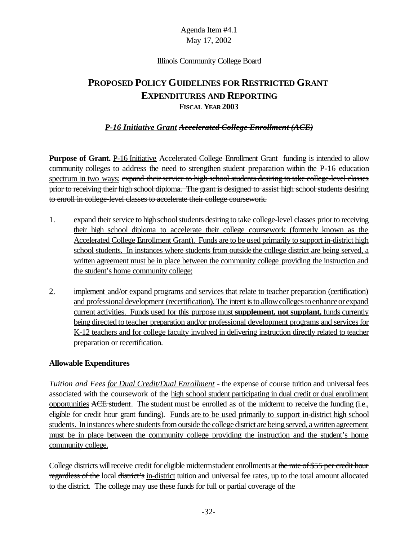#### Illinois Community College Board

# **PROPOSED POLICY GUIDELINES FOR RESTRICTED GRANT EXPENDITURES AND REPORTING FISCAL YEAR 2003**

# *P-16 Initiative Grant Accelerated College Enrollment (ACE)*

**Purpose of Grant.** P-16 Initiative Accelerated College Enrollment Grant funding is intended to allow community colleges to address the need to strengthen student preparation within the P-16 education spectrum in two ways: expand their service to high school students desiring to take college-level classes prior to receiving their high school diploma. The grant is designed to assist high school students desiring to enroll in college-level classes to accelerate their college coursework.

- 1. expand their service to high school students desiring to take college-level classes prior to receiving their high school diploma to accelerate their college coursework (formerly known as the Accelerated College Enrollment Grant). Funds are to be used primarily to support in-district high school students. In instances where students from outside the college district are being served, a written agreement must be in place between the community college providing the instruction and the student's home community college;
- 2. implement and/or expand programs and services that relate to teacher preparation (certification) and professional development (recertification). The intent is to allow colleges to enhance or expand current activities. Funds used for this purpose must **supplement, not supplant,** funds currently being directed to teacher preparation and/or professional development programs and services for K-12 teachers and for college faculty involved in delivering instruction directly related to teacher preparation or recertification.

### **Allowable Expenditures**

*Tuition and Fees for Dual Credit/Dual Enrollment* - the expense of course tuition and universal fees associated with the coursework of the high school student participating in dual credit or dual enrollment opportunities ACE student. The student must be enrolled as of the midterm to receive the funding (i.e., eligible for credit hour grant funding). Funds are to be used primarily to support in-district high school students. In instances where students from outside the college district are being served, a written agreement must be in place between the community college providing the instruction and the student's home community college.

College districts will receive credit for eligible midtermstudent enrollments at the rate of \$55 per credit hour regardless of the local district's in-district tuition and universal fee rates, up to the total amount allocated to the district. The college may use these funds for full or partial coverage of the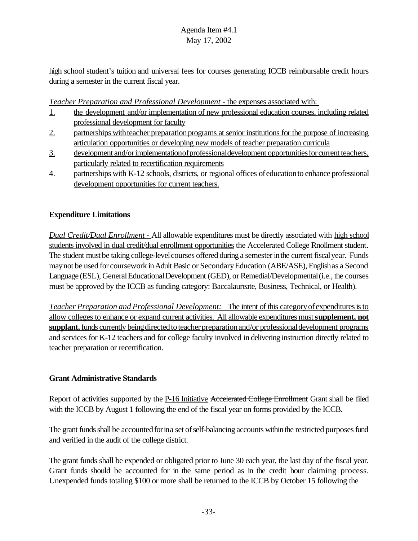high school student's tuition and universal fees for courses generating ICCB reimbursable credit hours during a semester in the current fiscal year.

*Teacher Preparation and Professional Development -* the expenses associated with:

- 1. the development and/or implementation of new professional education courses, including related professional development for faculty
- 2. partnerships with teacher preparation programs at senior institutions for the purpose of increasing articulation opportunities or developing new models of teacher preparation curricula
- 3. development and/or implementation of professional development opportunities for current teachers, particularly related to recertification requirements
- 4. partnerships with K-12 schools, districts, or regional offices ofeducationto enhance professional development opportunities for current teachers.

# **Expenditure Limitations**

*Dual Credit/Dual Enrollment -* All allowable expenditures must be directly associated with high school students involved in dual credit/dual enrollment opportunities the Accelerated College Rnollment student. The student must be taking college-level courses offered during a semester in the current fiscal year. Funds maynot be used for coursework inAdult Basic or SecondaryEducation (ABE/ASE), Englishas a Second Language (ESL), General Educational Development (GED), or Remedial/Developmental (i.e., the courses must be approved by the ICCB as funding category: Baccalaureate, Business, Technical, or Health).

*Teacher Preparation and Professional Development:* The intent of this category of expenditures is to allow colleges to enhance or expand current activities. All allowable expenditures must **supplement, not** supplant, funds currently being directed to teacher preparation and/or professional development programs and services for K-12 teachers and for college faculty involved in delivering instruction directly related to teacher preparation or recertification.

### **Grant Administrative Standards**

Report of activities supported by the P-16 Initiative Accelerated College Enrollment Grant shall be filed with the ICCB by August 1 following the end of the fiscal year on forms provided by the ICCB.

The grant funds shall be accounted for in a set of self-balancing accounts within the restricted purposes fund and verified in the audit of the college district.

The grant funds shall be expended or obligated prior to June 30 each year, the last day of the fiscal year. Grant funds should be accounted for in the same period as in the credit hour claiming process. Unexpended funds totaling \$100 or more shall be returned to the ICCB by October 15 following the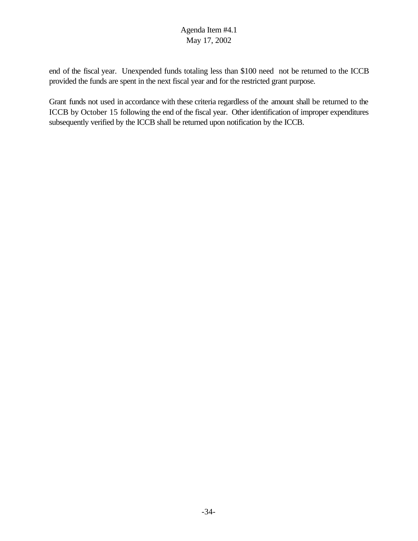end of the fiscal year. Unexpended funds totaling less than \$100 need not be returned to the ICCB provided the funds are spent in the next fiscal year and for the restricted grant purpose.

Grant funds not used in accordance with these criteria regardless of the amount shall be returned to the ICCB by October 15 following the end of the fiscal year. Other identification of improper expenditures subsequently verified by the ICCB shall be returned upon notification by the ICCB.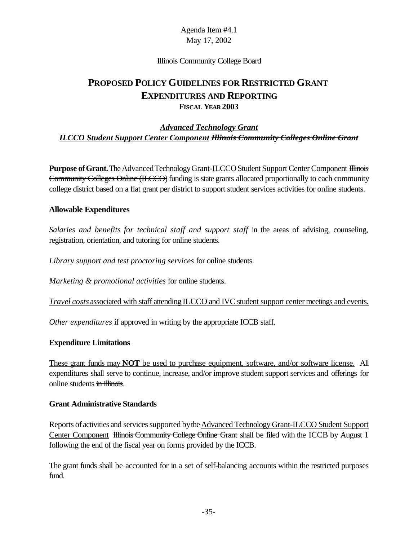#### Illinois Community College Board

# **PROPOSED POLICY GUIDELINES FOR RESTRICTED GRANT EXPENDITURES AND REPORTING FISCAL YEAR 2003**

## *Advanced Technology Grant ILCCO Student Support Center Component Illinois Community Colleges Online Grant*

**Purpose of Grant.** The Advanced Technology Grant-ILCCO Student Support Center Component Illinois Community Colleges Online (ILCCO) funding is state grants allocated proportionally to each community college district based on a flat grant per district to support student services activities for online students.

#### **Allowable Expenditures**

*Salaries and benefits for technical staff and support staff* in the areas of advising, counseling, registration, orientation, and tutoring for online students.

*Library support and test proctoring services* for online students.

*Marketing & promotional activities* for online students.

*Travel costs* associated with staff attending ILCCO and IVC student support center meetings and events.

*Other expenditures* if approved in writing by the appropriate ICCB staff.

#### **Expenditure Limitations**

These grant funds may **NOT** be used to purchase equipment, software, and/or software license. All expenditures shall serve to continue, increase, and/or improve student support services and offerings for online students in Illinois.

#### **Grant Administrative Standards**

Reports of activities and services supported by the Advanced Technology Grant-ILCCO Student Support Center Component Hlinois Community College Online Grant shall be filed with the ICCB by August 1 following the end of the fiscal year on forms provided by the ICCB.

The grant funds shall be accounted for in a set of self-balancing accounts within the restricted purposes fund.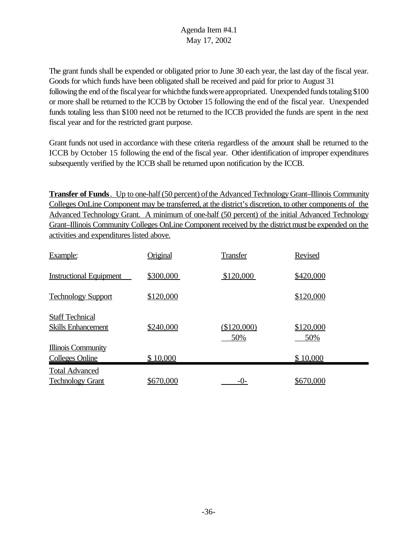The grant funds shall be expended or obligated prior to June 30 each year, the last day of the fiscal year. Goods for which funds have been obligated shall be received and paid for prior to August 31 following the end of the fiscal year for which the funds were appropriated. Unexpended funds totaling \$100 or more shall be returned to the ICCB by October 15 following the end of the fiscal year. Unexpended funds totaling less than \$100 need not be returned to the ICCB provided the funds are spent in the next fiscal year and for the restricted grant purpose.

Grant funds not used in accordance with these criteria regardless of the amount shall be returned to the ICCB by October 15 following the end of the fiscal year. Other identification of improper expenditures subsequently verified by the ICCB shall be returned upon notification by the ICCB.

**Transfer of Funds**. Up to one-half (50 percent) of the Advanced Technology Grant–Illinois Community Colleges OnLine Component may be transferred, at the district's discretion, to other components of the Advanced Technology Grant. A minimum of one-half (50 percent) of the initial Advanced Technology Grant–Illinois Community Colleges OnLine Component received by the district must be expended on the activities and expenditures listed above.

| Example:                                            | <b>Original</b> | <b>Transfer</b>    | Revised          |
|-----------------------------------------------------|-----------------|--------------------|------------------|
| <b>Instructional Equipment</b>                      | \$300,000       | \$120,000          | \$420,000        |
| <b>Technology Support</b>                           | \$120,000       |                    | \$120,000        |
| <b>Staff Technical</b><br><b>Skills Enhancement</b> | \$240,000       | (\$120,000)<br>50% | \$120,000<br>50% |
| <b>Illinois Community</b><br><b>Colleges Online</b> | \$10,000        |                    | \$10,000         |
| <b>Total Advanced</b><br><b>Technology Grant</b>    | \$670,000       | $-()$ -            | \$670,000        |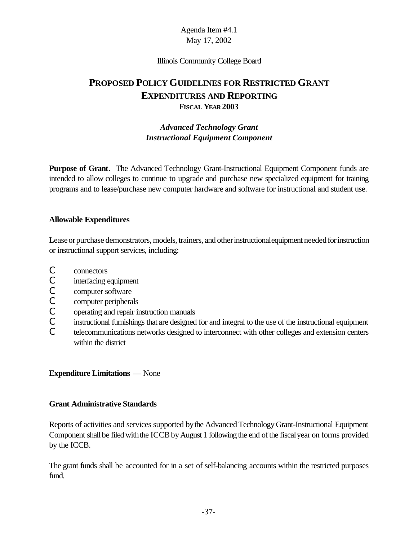#### Illinois Community College Board

# **PROPOSED POLICY GUIDELINES FOR RESTRICTED GRANT EXPENDITURES AND REPORTING FISCAL YEAR 2003**

# *Advanced Technology Grant Instructional Equipment Component*

**Purpose of Grant**. The Advanced Technology Grant-Instructional Equipment Component funds are intended to allow colleges to continue to upgrade and purchase new specialized equipment for training programs and to lease/purchase new computer hardware and software for instructional and student use.

### **Allowable Expenditures**

Lease or purchase demonstrators, models, trainers, and other instructional equipment needed for instruction or instructional support services, including:

- C connectors
- C interfacing equipment
- C computer software
- C computer peripherals
- C operating and repair instruction manuals
- C instructional furnishings that are designed for and integral to the use of the instructional equipment
- C telecommunications networks designed to interconnect with other colleges and extension centers within the district

### **Expenditure Limitations** — None

### **Grant Administrative Standards**

Reports of activities and services supported bythe Advanced Technology Grant-Instructional Equipment Component shall be filed with the ICCB by August 1 following the end of the fiscal year on forms provided by the ICCB.

The grant funds shall be accounted for in a set of self-balancing accounts within the restricted purposes fund.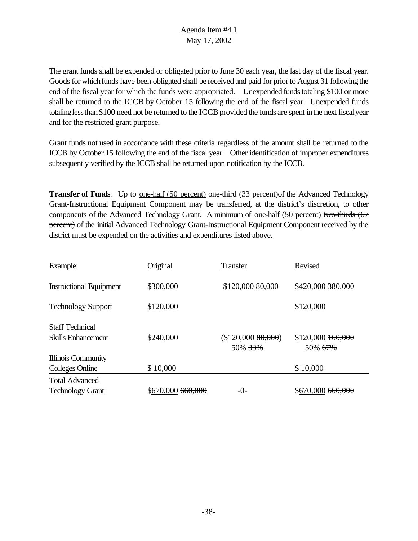The grant funds shall be expended or obligated prior to June 30 each year, the last day of the fiscal year. Goods for which funds have been obligated shall be received and paid for prior to August 31 following the end of the fiscal year for which the funds were appropriated. Unexpended funds totaling \$100 or more shall be returned to the ICCB by October 15 following the end of the fiscal year. Unexpended funds totaling less than \$100 need not be returned to the ICCB provided the funds are spent in the next fiscal year and for the restricted grant purpose.

Grant funds not used in accordance with these criteria regardless of the amount shall be returned to the ICCB by October 15 following the end of the fiscal year. Other identification of improper expenditures subsequently verified by the ICCB shall be returned upon notification by the ICCB.

**Transfer of Funds**. Up to <u>one-half (50 percent)</u> one-third (33 percent) of the Advanced Technology Grant-Instructional Equipment Component may be transferred, at the district's discretion, to other components of the Advanced Technology Grant. A minimum of one-half (50 percent) two-thirds (67 percent) of the initial Advanced Technology Grant-Instructional Equipment Component received by the district must be expended on the activities and expenditures listed above.

| Example:                       | Original          | <b>Transfer</b>              | Revised                         |
|--------------------------------|-------------------|------------------------------|---------------------------------|
| <b>Instructional Equipment</b> | \$300,000         | \$120,00080,000              | \$420,000 380,000               |
| <b>Technology Support</b>      | \$120,000         |                              | \$120,000                       |
| <b>Staff Technical</b>         |                   |                              |                                 |
| <b>Skills Enhancement</b>      | \$240,000         | (\$120,00080,000)<br>50% 33% | $$120,000$ $160,000$<br>50% 67% |
| <b>Illinois Community</b>      |                   |                              |                                 |
| <b>Colleges Online</b>         | \$10,000          |                              | \$10,000                        |
| <b>Total Advanced</b>          |                   |                              |                                 |
| <b>Technology Grant</b>        | \$670,000 660,000 | $-()$ -                      | \$670,000 <del>660,000</del>    |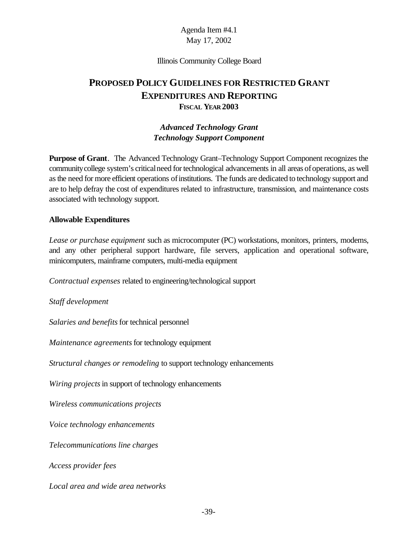#### Illinois Community College Board

# **PROPOSED POLICY GUIDELINES FOR RESTRICTED GRANT EXPENDITURES AND REPORTING FISCAL YEAR 2003**

#### *Advanced Technology Grant Technology Support Component*

**Purpose of Grant**. The Advanced Technology Grant–Technology Support Component recognizes the communitycollege system's criticalneed fortechnological advancements in all areas ofoperations, as well as the need for more efficient operations of institutions. The funds are dedicated to technology support and are to help defray the cost of expenditures related to infrastructure, transmission, and maintenance costs associated with technology support.

#### **Allowable Expenditures**

*Lease or purchase equipment* such as microcomputer (PC) workstations, monitors, printers, modems, and any other peripheral support hardware, file servers, application and operational software, minicomputers, mainframe computers, multi-media equipment

*Contractual expenses* related to engineering/technological support

*Staff development*

*Salaries and benefits* for technical personnel

*Maintenance agreements* for technology equipment

*Structural changes or remodeling* to support technology enhancements

*Wiring projects* in support of technology enhancements

*Wireless communications projects*

*Voice technology enhancements*

*Telecommunications line charges*

*Access provider fees*

*Local area and wide area networks*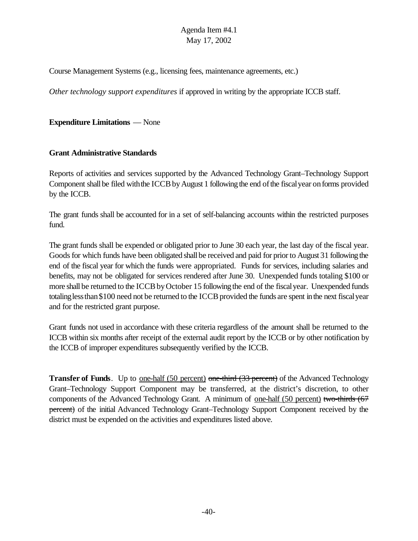Course Management Systems (e.g., licensing fees, maintenance agreements, etc.)

*Other technology support expenditures* if approved in writing by the appropriate ICCB staff.

**Expenditure Limitations** — None

#### **Grant Administrative Standards**

Reports of activities and services supported by the Advanced Technology Grant–Technology Support Component shall be filed with the ICCB by August 1 following the end of the fiscal year on forms provided by the ICCB.

The grant funds shall be accounted for in a set of self-balancing accounts within the restricted purposes fund.

The grant funds shall be expended or obligated prior to June 30 each year, the last day of the fiscal year. Goods for which funds have been obligated shall be received and paid for prior to August 31 following the end of the fiscal year for which the funds were appropriated. Funds for services, including salaries and benefits, may not be obligated for services rendered after June 30. Unexpended funds totaling \$100 or more shall be returned to the ICCB by October 15 following the end of the fiscal year. Unexpended funds totaling less than \$100 need not be returned to the ICCB provided the funds are spent in the next fiscal year and for the restricted grant purpose.

Grant funds not used in accordance with these criteria regardless of the amount shall be returned to the ICCB within six months after receipt of the external audit report by the ICCB or by other notification by the ICCB of improper expenditures subsequently verified by the ICCB.

**Transfer of Funds**. Up to <u>one-half (50 percent)</u> one-third (33 percent) of the Advanced Technology Grant–Technology Support Component may be transferred, at the district's discretion, to other components of the Advanced Technology Grant. A minimum of one-half (50 percent) two-thirds (67 percent) of the initial Advanced Technology Grant–Technology Support Component received by the district must be expended on the activities and expenditures listed above.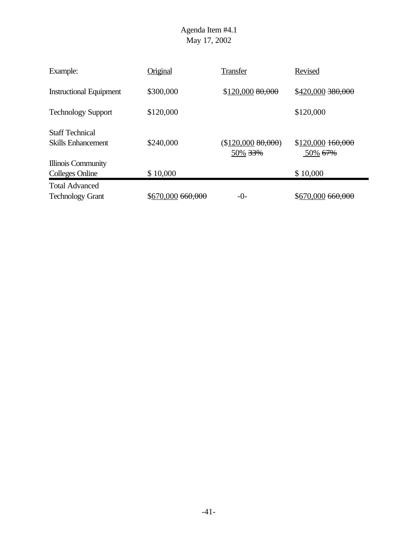| Example:                                            | Original          | <b>Transfer</b>              | Revised                            |
|-----------------------------------------------------|-------------------|------------------------------|------------------------------------|
| <b>Instructional Equipment</b>                      | \$300,000         | \$120,000 80,000             | \$420,000 380,000                  |
| <b>Technology Support</b>                           | \$120,000         |                              | \$120,000                          |
| <b>Staff Technical</b><br><b>Skills Enhancement</b> | \$240,000         | (\$120,00080,000)<br>50% 33% | $$120,000$ $160,000$<br>$50\%$ 67% |
| Illinois Community<br><b>Colleges Online</b>        | \$10,000          |                              | \$10,000                           |
| <b>Total Advanced</b><br><b>Technology Grant</b>    | \$670,000 660,000 | $-()$ -                      | \$670,000 660,000                  |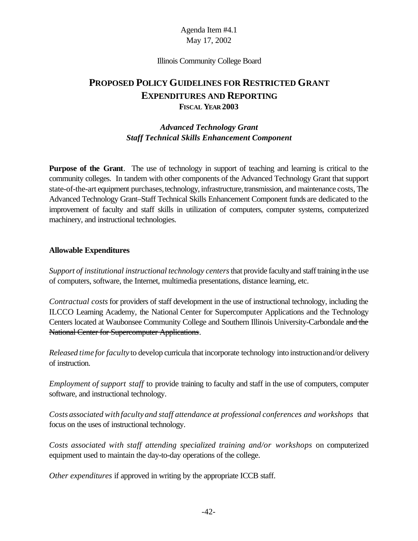#### Illinois Community College Board

# **PROPOSED POLICY GUIDELINES FOR RESTRICTED GRANT EXPENDITURES AND REPORTING FISCAL YEAR 2003**

## *Advanced Technology Grant Staff Technical Skills Enhancement Component*

**Purpose of the Grant**. The use of technology in support of teaching and learning is critical to the community colleges. In tandem with other components of the Advanced Technology Grant that support state-of-the-art equipment purchases, technology, infrastructure, transmission, and maintenance costs, The Advanced Technology Grant–Staff Technical Skills Enhancement Component funds are dedicated to the improvement of faculty and staff skills in utilization of computers, computer systems, computerized machinery, and instructional technologies.

#### **Allowable Expenditures**

*Support of institutional instructional technology centers*that provide facultyand stafftraining inthe use of computers, software, the Internet, multimedia presentations, distance learning, etc.

*Contractual costs* for providers of staff development in the use of instructional technology, including the ILCCO Learning Academy, the National Center for Supercomputer Applications and the Technology Centers located at Waubonsee Community College and Southern Illinois University-Carbondale and the National Center for Supercomputer Applications.

*Released time for faculty* to develop curricula that incorporate technology into instruction and/or delivery of instruction.

*Employment of support staff* to provide training to faculty and staff in the use of computers, computer software, and instructional technology.

*Costs associated with faculty and staff attendance at professional conferences and workshops* that focus on the uses of instructional technology.

*Costs associated with staff attending specialized training and/or workshops* on computerized equipment used to maintain the day-to-day operations of the college.

*Other expenditures* if approved in writing by the appropriate ICCB staff.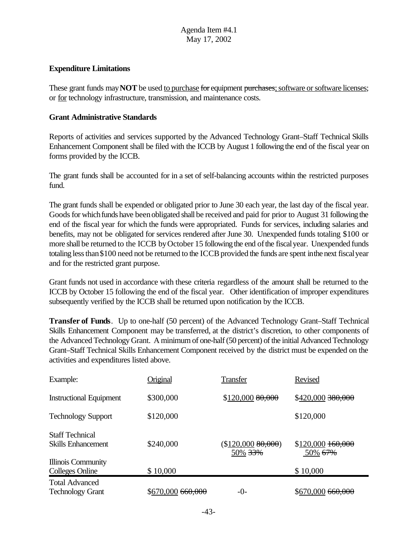#### **Expenditure Limitations**

These grant funds may **NOT** be used to purchase for equipment purchases; software or software licenses; or for technology infrastructure, transmission, and maintenance costs.

#### **Grant Administrative Standards**

Reports of activities and services supported by the Advanced Technology Grant–Staff Technical Skills Enhancement Component shall be filed with the ICCB by August 1 following the end of the fiscal year on forms provided by the ICCB.

The grant funds shall be accounted for in a set of self-balancing accounts within the restricted purposes fund.

The grant funds shall be expended or obligated prior to June 30 each year, the last day of the fiscal year. Goods for which funds have been obligated shall be received and paid for prior to August 31 following the end of the fiscal year for which the funds were appropriated. Funds for services, including salaries and benefits, may not be obligated for services rendered after June 30. Unexpended funds totaling \$100 or more shall be returned to the ICCB by October 15 following the end of the fiscal year. Unexpended funds totaling less than \$100 need not be returned to the ICCB provided the funds are spent in the next fiscal year and for the restricted grant purpose.

Grant funds not used in accordance with these criteria regardless of the amount shall be returned to the ICCB by October 15 following the end of the fiscal year. Other identification of improper expenditures subsequently verified by the ICCB shall be returned upon notification by the ICCB.

**Transfer of Funds**. Up to one-half (50 percent) of the Advanced Technology Grant–Staff Technical Skills Enhancement Component may be transferred, at the district's discretion, to other components of the Advanced Technology Grant. A minimum of one-half (50 percent) of the initial Advanced Technology Grant–Staff Technical Skills Enhancement Component received by the district must be expended on the activities and expenditures listed above.

| Example:                                            | Original          | <b>Transfer</b>              | Revised                                    |
|-----------------------------------------------------|-------------------|------------------------------|--------------------------------------------|
| <b>Instructional Equipment</b>                      | \$300,000         | \$120,00080,000              | \$420,000 380,000                          |
| <b>Technology Support</b>                           | \$120,000         |                              | \$120,000                                  |
| <b>Staff Technical</b><br><b>Skills Enhancement</b> | \$240,000         | (\$120,00080,000)<br>50% 33% | $$120,000$ $160,000$<br>50% <del>67%</del> |
| <b>Illinois Community</b><br><b>Colleges Online</b> | \$10,000          |                              | \$10,000                                   |
| <b>Total Advanced</b><br><b>Technology Grant</b>    | \$670,000 660,000 | $-()$ -                      | $$670,000$ $660,000$                       |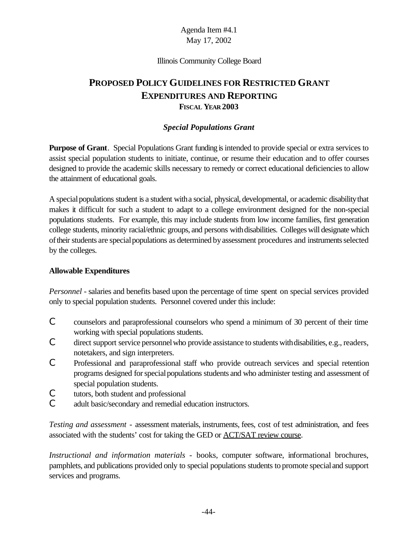#### Illinois Community College Board

# **PROPOSED POLICY GUIDELINES FOR RESTRICTED GRANT EXPENDITURES AND REPORTING FISCAL YEAR 2003**

## *Special Populations Grant*

**Purpose of Grant**. Special Populations Grant funding isintended to provide special or extra services to assist special population students to initiate, continue, or resume their education and to offer courses designed to provide the academic skills necessary to remedy or correct educational deficiencies to allow the attainment of educational goals.

A special populations student is a student with a social, physical, developmental, or academic disability that makes it difficult for such a student to adapt to a college environment designed for the non-special populations students. For example, this may include students from low income families, first generation college students, minority racial/ethnic groups, and persons withdisabilities. Colleges will designate which of their students are special populations as determined by assessment procedures and instruments selected by the colleges.

### **Allowable Expenditures**

*Personnel* - salaries and benefits based upon the percentage of time spent on special services provided only to special population students. Personnel covered under this include:

- C counselors and paraprofessional counselors who spend a minimum of 30 percent of their time working with special populations students.
- C direct support service personnelwho provide assistance to students withdisabilities, e.g., readers, notetakers, and sign interpreters.
- C Professional and paraprofessional staff who provide outreach services and special retention programs designed for special populations students and who administer testing and assessment of special population students.
- C tutors, both student and professional
- C adult basic/secondary and remedial education instructors.

*Testing and assessment* - assessment materials, instruments, fees, cost of test administration, and fees associated with the students' cost for taking the GED or ACT/SAT review course.

*Instructional and information materials* - books, computer software, informational brochures, pamphlets, and publications provided only to special populations students to promote specialand support services and programs.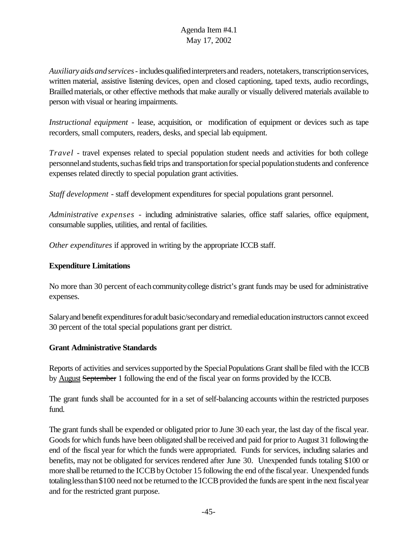*Auxiliaryaidsandservices*- includesqualifiedinterpretersand readers, notetakers, transcriptionservices, written material, assistive listening devices, open and closed captioning, taped texts, audio recordings, Brailledmaterials, or other effective methods that make aurally or visually delivered materials available to person with visual or hearing impairments.

*Instructional equipment* - lease, acquisition, or modification of equipment or devices such as tape recorders, small computers, readers, desks, and special lab equipment.

*Travel* - travel expenses related to special population student needs and activities for both college personnel and students, such as field trips and transportation for special population students and conference expenses related directly to special population grant activities.

*Staff development* - staff development expenditures for special populations grant personnel.

*Administrative expenses* - including administrative salaries, office staff salaries, office equipment, consumable supplies, utilities, and rental of facilities.

*Other expenditures* if approved in writing by the appropriate ICCB staff.

# **Expenditure Limitations**

No more than 30 percent of each community college district's grant funds may be used for administrative expenses.

Salary and benefit expenditures for adult basic/secondary and remedial education instructors cannot exceed 30 percent of the total special populations grant per district.

### **Grant Administrative Standards**

Reports of activities and services supported by the Special Populations Grant shall be filed with the ICCB by August September 1 following the end of the fiscal year on forms provided by the ICCB.

The grant funds shall be accounted for in a set of self-balancing accounts within the restricted purposes fund.

The grant funds shall be expended or obligated prior to June 30 each year, the last day of the fiscal year. Goods for which funds have been obligated shall be received and paid for prior to August 31 following the end of the fiscal year for which the funds were appropriated. Funds for services, including salaries and benefits, may not be obligated for services rendered after June 30. Unexpended funds totaling \$100 or more shall be returned to the ICCB by October 15 following the end of the fiscal year. Unexpended funds totaling less than \$100 need not be returned to the ICCB provided the funds are spent in the next fiscal year and for the restricted grant purpose.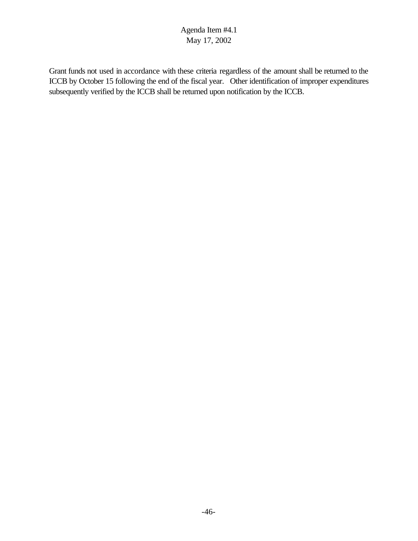Grant funds not used in accordance with these criteria regardless of the amount shall be returned to the ICCB by October 15 following the end of the fiscal year. Other identification of improper expenditures subsequently verified by the ICCB shall be returned upon notification by the ICCB.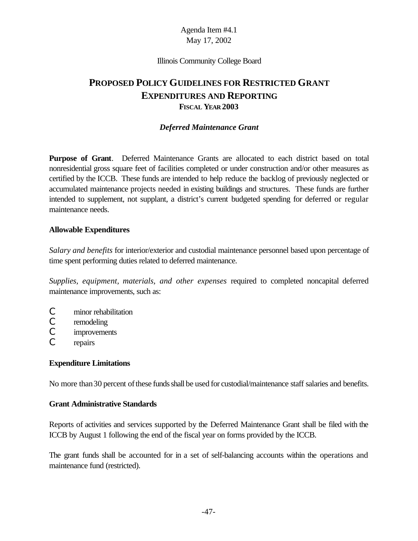#### Illinois Community College Board

# **PROPOSED POLICY GUIDELINES FOR RESTRICTED GRANT EXPENDITURES AND REPORTING FISCAL YEAR 2003**

#### *Deferred Maintenance Grant*

**Purpose of Grant**. Deferred Maintenance Grants are allocated to each district based on total nonresidential gross square feet of facilities completed or under construction and/or other measures as certified by the ICCB. These funds are intended to help reduce the backlog of previously neglected or accumulated maintenance projects needed in existing buildings and structures. These funds are further intended to supplement, not supplant, a district's current budgeted spending for deferred or regular maintenance needs.

#### **Allowable Expenditures**

*Salary and benefits* for interior/exterior and custodial maintenance personnel based upon percentage of time spent performing duties related to deferred maintenance.

*Supplies, equipment, materials, and other expenses* required to completed noncapital deferred maintenance improvements, such as:

- C minor rehabilitation
- C remodeling
- C improvements
- C repairs

#### **Expenditure Limitations**

No more than 30 percent of these funds shall be used for custodial/maintenance staff salaries and benefits.

#### **Grant Administrative Standards**

Reports of activities and services supported by the Deferred Maintenance Grant shall be filed with the ICCB by August 1 following the end of the fiscal year on forms provided by the ICCB.

The grant funds shall be accounted for in a set of self-balancing accounts within the operations and maintenance fund (restricted).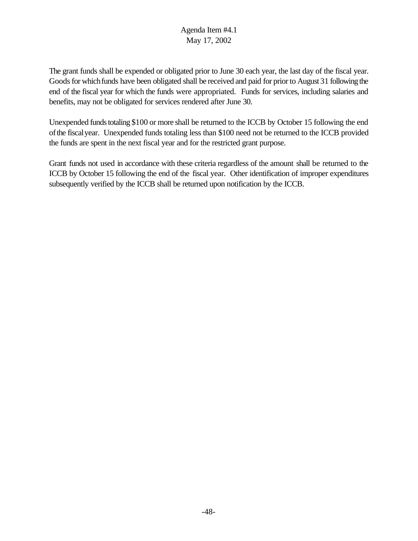The grant funds shall be expended or obligated prior to June 30 each year, the last day of the fiscal year. Goods for which funds have been obligated shall be received and paid for prior to August 31 following the end of the fiscal year for which the funds were appropriated. Funds for services, including salaries and benefits, may not be obligated for services rendered after June 30.

Unexpended funds totaling \$100 or more shall be returned to the ICCB by October 15 following the end ofthe fiscalyear. Unexpended funds totaling less than \$100 need not be returned to the ICCB provided the funds are spent in the next fiscal year and for the restricted grant purpose.

Grant funds not used in accordance with these criteria regardless of the amount shall be returned to the ICCB by October 15 following the end of the fiscal year. Other identification of improper expenditures subsequently verified by the ICCB shall be returned upon notification by the ICCB.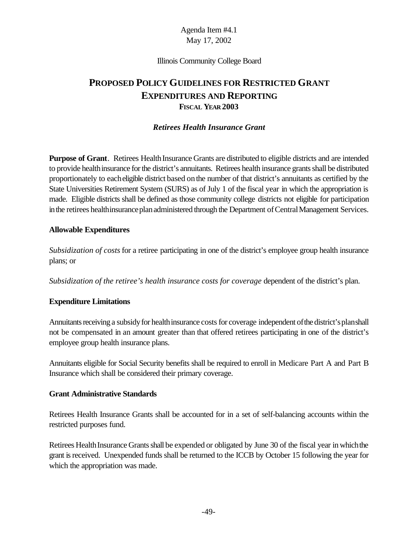#### Illinois Community College Board

# **PROPOSED POLICY GUIDELINES FOR RESTRICTED GRANT EXPENDITURES AND REPORTING FISCAL YEAR 2003**

#### *Retirees Health Insurance Grant*

**Purpose of Grant**. Retirees Health Insurance Grants are distributed to eligible districts and are intended to provide health insurance for the district's annuitants. Retirees health insurance grants shall be distributed proportionately to eacheligible district based onthe number of that district's annuitants as certified by the State Universities Retirement System (SURS) as of July 1 of the fiscal year in which the appropriation is made. Eligible districts shall be defined as those community college districts not eligible for participation in the retirees healthinsurance plan administered through the Department of Central Management Services.

#### **Allowable Expenditures**

*Subsidization of costs* for a retiree participating in one of the district's employee group health insurance plans; or

*Subsidization of the retiree's health insurance costs for coverage* dependent of the district's plan.

#### **Expenditure Limitations**

Annuitants receiving a subsidy for health insurance costs for coverage independent of the district's planshall not be compensated in an amount greater than that offered retirees participating in one of the district's employee group health insurance plans.

Annuitants eligible for Social Security benefits shall be required to enroll in Medicare Part A and Part B Insurance which shall be considered their primary coverage.

#### **Grant Administrative Standards**

Retirees Health Insurance Grants shall be accounted for in a set of self-balancing accounts within the restricted purposes fund.

Retirees Health Insurance Grants shall be expended or obligated by June 30 of the fiscal year in which the grant isreceived. Unexpended funds shall be returned to the ICCB by October 15 following the year for which the appropriation was made.